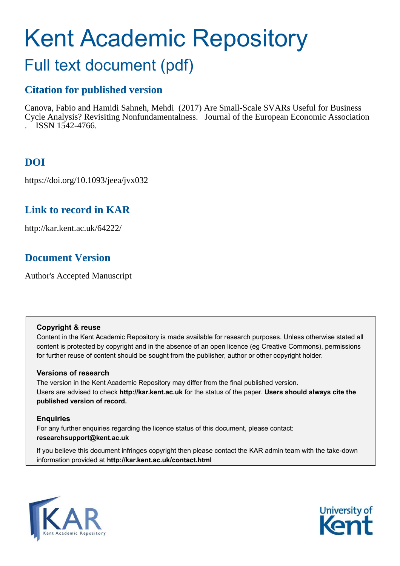# Kent Academic Repository

# Full text document (pdf)

# **Citation for published version**

Canova, Fabio and Hamidi Sahneh, Mehdi (2017) Are Small-Scale SVARs Useful for Business Cycle Analysis? Revisiting Nonfundamentalness. Journal of the European Economic Association . ISSN 1542-4766.

# **DOI**

https://doi.org/10.1093/jeea/jvx032

# **Link to record in KAR**

http://kar.kent.ac.uk/64222/

# **Document Version**

Author's Accepted Manuscript

#### **Copyright & reuse**

Content in the Kent Academic Repository is made available for research purposes. Unless otherwise stated all content is protected by copyright and in the absence of an open licence (eg Creative Commons), permissions for further reuse of content should be sought from the publisher, author or other copyright holder.

#### **Versions of research**

The version in the Kent Academic Repository may differ from the final published version. Users are advised to check **http://kar.kent.ac.uk** for the status of the paper. **Users should always cite the published version of record.**

#### **Enquiries**

For any further enquiries regarding the licence status of this document, please contact: **researchsupport@kent.ac.uk**

If you believe this document infringes copyright then please contact the KAR admin team with the take-down information provided at **http://kar.kent.ac.uk/contact.html**



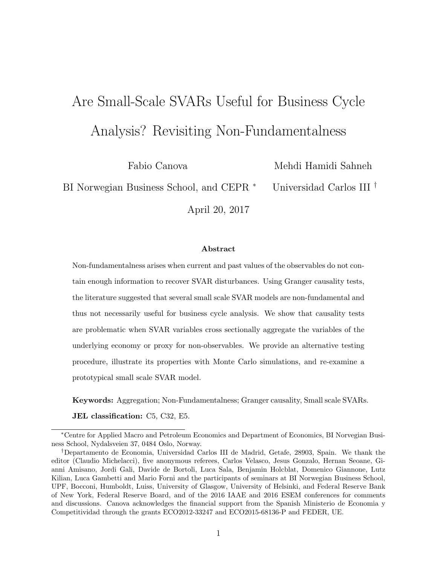# Are Small-Scale SVARs Useful for Business Cycle Analysis? Revisiting Non-Fundamentalness

Fabio Canova

Mehdi Hamidi Sahneh

BI Norwegian Business School, and CEPR  $*$ Universidad Carlos III †

April 20, 2017

#### Abstract

Non-fundamentalness arises when current and past values of the observables do not contain enough information to recover SVAR disturbances. Using Granger causality tests, the literature suggested that several small scale SVAR models are non-fundamental and thus not necessarily useful for business cycle analysis. We show that causality tests are problematic when SVAR variables cross sectionally aggregate the variables of the underlying economy or proxy for non-observables. We provide an alternative testing procedure, illustrate its properties with Monte Carlo simulations, and re-examine a prototypical small scale SVAR model.

Keywords: Aggregation; Non-Fundamentalness; Granger causality, Small scale SVARs.

JEL classification: C5, C32, E5.

<sup>∗</sup>Centre for Applied Macro and Petroleum Economics and Department of Economics, BI Norvegian Business School, Nydalsveien 37, 0484 Oslo, Norway.

<sup>†</sup>Departamento de Economia, Universidad Carlos III de Madrid, Getafe, 28903, Spain. We thank the editor (Claudio Michelacci), five anonymous referees, Carlos Velasco, Jesus Gonzalo, Hernan Seoane, Gianni Amisano, Jordi Gali, Davide de Bortoli, Luca Sala, Benjamin Holcblat, Domenico Giannone, Lutz Kilian, Luca Gambetti and Mario Forni and the participants of seminars at BI Norwegian Business School, UPF, Bocconi, Humboldt, Luiss, University of Glasgow, University of Helsinki, and Federal Reserve Bank of New York, Federal Reserve Board, and of the 2016 IAAE and 2016 ESEM conferences for comments and discussions. Canova acknowledges the financial support from the Spanish Ministerio de Economia y Competitividad through the grants ECO2012-33247 and ECO2015-68136-P and FEDER, UE.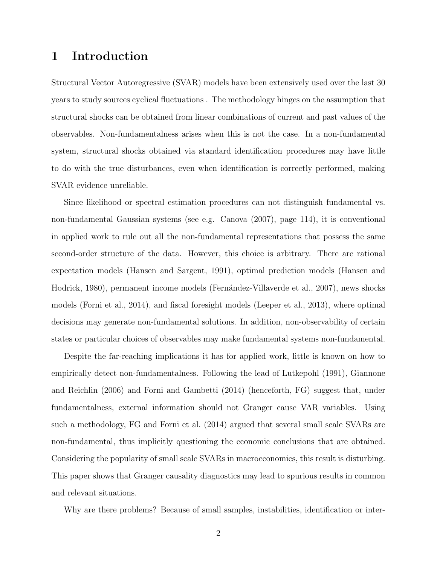#### 1 Introduction

Structural Vector Autoregressive (SVAR) models have been extensively used over the last 30 years to study sources cyclical fluctuations . The methodology hinges on the assumption that structural shocks can be obtained from linear combinations of current and past values of the observables. Non-fundamentalness arises when this is not the case. In a non-fundamental system, structural shocks obtained via standard identification procedures may have little to do with the true disturbances, even when identification is correctly performed, making SVAR evidence unreliable.

Since likelihood or spectral estimation procedures can not distinguish fundamental vs. non-fundamental Gaussian systems (see e.g. Canova (2007), page 114), it is conventional in applied work to rule out all the non-fundamental representations that possess the same second-order structure of the data. However, this choice is arbitrary. There are rational expectation models (Hansen and Sargent, 1991), optimal prediction models (Hansen and Hodrick, 1980), permanent income models (Fernández-Villaverde et al., 2007), news shocks models (Forni et al., 2014), and fiscal foresight models (Leeper et al., 2013), where optimal decisions may generate non-fundamental solutions. In addition, non-observability of certain states or particular choices of observables may make fundamental systems non-fundamental.

Despite the far-reaching implications it has for applied work, little is known on how to empirically detect non-fundamentalness. Following the lead of Lutkepohl (1991), Giannone and Reichlin (2006) and Forni and Gambetti (2014) (henceforth, FG) suggest that, under fundamentalness, external information should not Granger cause VAR variables. Using such a methodology, FG and Forni et al. (2014) argued that several small scale SVARs are non-fundamental, thus implicitly questioning the economic conclusions that are obtained. Considering the popularity of small scale SVARs in macroeconomics, this result is disturbing. This paper shows that Granger causality diagnostics may lead to spurious results in common and relevant situations.

Why are there problems? Because of small samples, instabilities, identification or inter-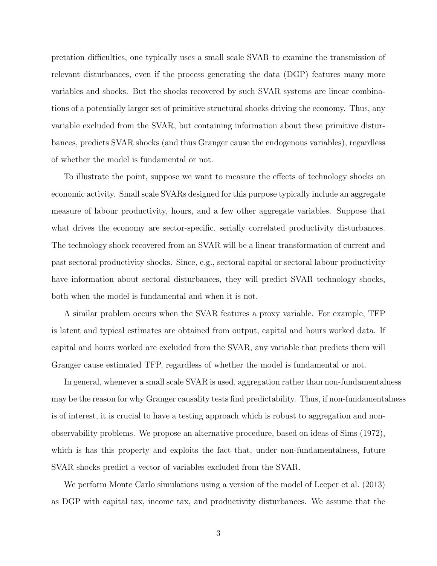pretation difficulties, one typically uses a small scale SVAR to examine the transmission of relevant disturbances, even if the process generating the data (DGP) features many more variables and shocks. But the shocks recovered by such SVAR systems are linear combinations of a potentially larger set of primitive structural shocks driving the economy. Thus, any variable excluded from the SVAR, but containing information about these primitive disturbances, predicts SVAR shocks (and thus Granger cause the endogenous variables), regardless of whether the model is fundamental or not.

To illustrate the point, suppose we want to measure the effects of technology shocks on economic activity. Small scale SVARs designed for this purpose typically include an aggregate measure of labour productivity, hours, and a few other aggregate variables. Suppose that what drives the economy are sector-specific, serially correlated productivity disturbances. The technology shock recovered from an SVAR will be a linear transformation of current and past sectoral productivity shocks. Since, e.g., sectoral capital or sectoral labour productivity have information about sectoral disturbances, they will predict SVAR technology shocks, both when the model is fundamental and when it is not.

A similar problem occurs when the SVAR features a proxy variable. For example, TFP is latent and typical estimates are obtained from output, capital and hours worked data. If capital and hours worked are excluded from the SVAR, any variable that predicts them will Granger cause estimated TFP, regardless of whether the model is fundamental or not.

In general, whenever a small scale SVAR is used, aggregation rather than non-fundamentalness may be the reason for why Granger causality tests find predictability. Thus, if non-fundamentalness is of interest, it is crucial to have a testing approach which is robust to aggregation and nonobservability problems. We propose an alternative procedure, based on ideas of Sims (1972), which is has this property and exploits the fact that, under non-fundamentalness, future SVAR shocks predict a vector of variables excluded from the SVAR.

We perform Monte Carlo simulations using a version of the model of Leeper et al. (2013) as DGP with capital tax, income tax, and productivity disturbances. We assume that the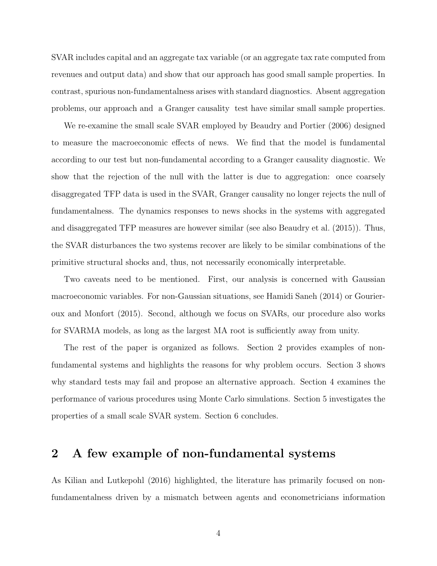SVAR includes capital and an aggregate tax variable (or an aggregate tax rate computed from revenues and output data) and show that our approach has good small sample properties. In contrast, spurious non-fundamentalness arises with standard diagnostics. Absent aggregation problems, our approach and a Granger causality test have similar small sample properties.

We re-examine the small scale SVAR employed by Beaudry and Portier (2006) designed to measure the macroeconomic effects of news. We find that the model is fundamental according to our test but non-fundamental according to a Granger causality diagnostic. We show that the rejection of the null with the latter is due to aggregation: once coarsely disaggregated TFP data is used in the SVAR, Granger causality no longer rejects the null of fundamentalness. The dynamics responses to news shocks in the systems with aggregated and disaggregated TFP measures are however similar (see also Beaudry et al. (2015)). Thus, the SVAR disturbances the two systems recover are likely to be similar combinations of the primitive structural shocks and, thus, not necessarily economically interpretable.

Two caveats need to be mentioned. First, our analysis is concerned with Gaussian macroeconomic variables. For non-Gaussian situations, see Hamidi Saneh (2014) or Gourieroux and Monfort (2015). Second, although we focus on SVARs, our procedure also works for SVARMA models, as long as the largest MA root is sufficiently away from unity.

The rest of the paper is organized as follows. Section 2 provides examples of nonfundamental systems and highlights the reasons for why problem occurs. Section 3 shows why standard tests may fail and propose an alternative approach. Section 4 examines the performance of various procedures using Monte Carlo simulations. Section 5 investigates the properties of a small scale SVAR system. Section 6 concludes.

#### 2 A few example of non-fundamental systems

As Kilian and Lutkepohl (2016) highlighted, the literature has primarily focused on nonfundamentalness driven by a mismatch between agents and econometricians information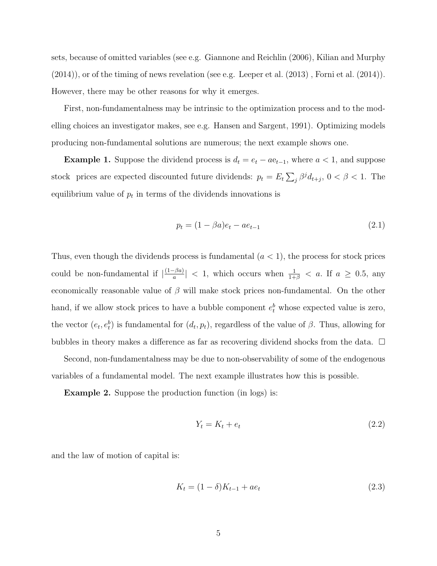sets, because of omitted variables (see e.g. Giannone and Reichlin (2006), Kilian and Murphy (2014)), or of the timing of news revelation (see e.g. Leeper et al. (2013) , Forni et al. (2014)). However, there may be other reasons for why it emerges.

First, non-fundamentalness may be intrinsic to the optimization process and to the modelling choices an investigator makes, see e.g. Hansen and Sargent, 1991). Optimizing models producing non-fundamental solutions are numerous; the next example shows one.

**Example 1.** Suppose the dividend process is  $d_t = e_t - a e_{t-1}$ , where  $a < 1$ , and suppose stock prices are expected discounted future dividends:  $p_t = E_t \sum_j \beta^j d_{t+j}$ ,  $0 < \beta < 1$ . The equilibrium value of  $p_t$  in terms of the dividends innovations is

$$
p_t = (1 - \beta a)e_t - ae_{t-1}
$$
\n(2.1)

Thus, even though the dividends process is fundamental  $(a < 1)$ , the process for stock prices could be non-fundamental if  $\left| \frac{(1-\beta a)}{a} \right|$  $\frac{1-\beta a}{a}|$  < 1, which occurs when  $\frac{1}{1+\beta}$  < a. If  $a \ge 0.5$ , any economically reasonable value of  $\beta$  will make stock prices non-fundamental. On the other hand, if we allow stock prices to have a bubble component  $e_t^b$  whose expected value is zero, the vector  $(e_t, e_t^b)$  is fundamental for  $(d_t, p_t)$ , regardless of the value of  $\beta$ . Thus, allowing for bubbles in theory makes a difference as far as recovering dividend shocks from the data.  $\Box$ 

Second, non-fundamentalness may be due to non-observability of some of the endogenous variables of a fundamental model. The next example illustrates how this is possible.

**Example 2.** Suppose the production function (in logs) is:

$$
Y_t = K_t + e_t \tag{2.2}
$$

and the law of motion of capital is:

$$
K_t = (1 - \delta)K_{t-1} + ae_t \tag{2.3}
$$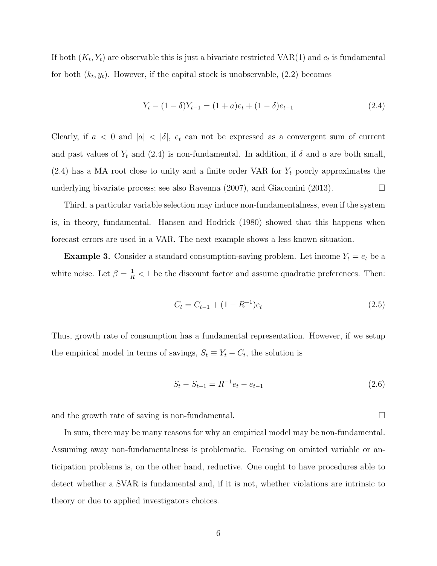If both  $(K_t, Y_t)$  are observable this is just a bivariate restricted VAR(1) and  $e_t$  is fundamental for both  $(k_t, y_t)$ . However, if the capital stock is unobservable,  $(2.2)$  becomes

$$
Y_t - (1 - \delta)Y_{t-1} = (1 + a)e_t + (1 - \delta)e_{t-1}
$$
\n(2.4)

Clearly, if  $a < 0$  and  $|a| < |\delta|$ ,  $e_t$  can not be expressed as a convergent sum of current and past values of  $Y_t$  and (2.4) is non-fundamental. In addition, if  $\delta$  and  $a$  are both small,  $(2.4)$  has a MA root close to unity and a finite order VAR for  $Y_t$  poorly approximates the underlying bivariate process; see also Ravenna  $(2007)$ , and Giacomini  $(2013)$ .

Third, a particular variable selection may induce non-fundamentalness, even if the system is, in theory, fundamental. Hansen and Hodrick (1980) showed that this happens when forecast errors are used in a VAR. The next example shows a less known situation.

**Example 3.** Consider a standard consumption-saving problem. Let income  $Y_t = e_t$  be a white noise. Let  $\beta = \frac{1}{R} < 1$  be the discount factor and assume quadratic preferences. Then:

$$
C_t = C_{t-1} + (1 - R^{-1})e_t \tag{2.5}
$$

Thus, growth rate of consumption has a fundamental representation. However, if we setup the empirical model in terms of savings,  $S_t \equiv Y_t - C_t$ , the solution is

$$
S_t - S_{t-1} = R^{-1}e_t - e_{t-1}
$$
\n(2.6)

and the growth rate of saving is non-fundamental.

In sum, there may be many reasons for why an empirical model may be non-fundamental. Assuming away non-fundamentalness is problematic. Focusing on omitted variable or anticipation problems is, on the other hand, reductive. One ought to have procedures able to detect whether a SVAR is fundamental and, if it is not, whether violations are intrinsic to theory or due to applied investigators choices.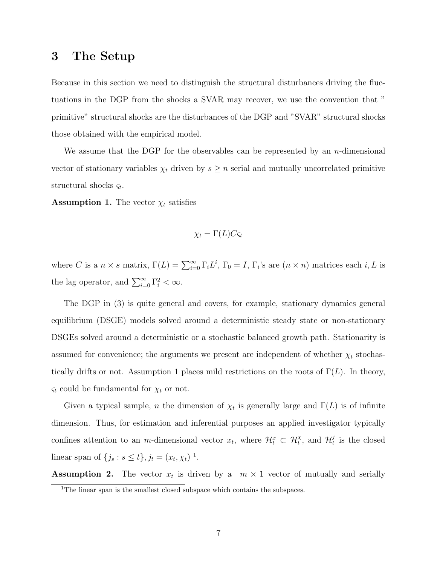#### 3 The Setup

Because in this section we need to distinguish the structural disturbances driving the fluctuations in the DGP from the shocks a SVAR may recover, we use the convention that " primitive" structural shocks are the disturbances of the DGP and "SVAR" structural shocks those obtained with the empirical model.

We assume that the DGP for the observables can be represented by an  $n$ -dimensional vector of stationary variables  $\chi_t$  driven by  $s \geq n$  serial and mutually uncorrelated primitive structural shocks  $\varsigma_t$ .

**Assumption 1.** The vector  $\chi_t$  satisfies

$$
\chi_t = \Gamma(L)C\varsigma_t
$$

where C is a  $n \times s$  matrix,  $\Gamma(L) = \sum_{i=0}^{\infty} \Gamma_i L^i$ ,  $\Gamma_0 = I$ ,  $\Gamma_i$ 's are  $(n \times n)$  matrices each  $i, L$  is the lag operator, and  $\sum_{i=0}^{\infty} \Gamma_i^2 < \infty$ .

The DGP in (3) is quite general and covers, for example, stationary dynamics general equilibrium (DSGE) models solved around a deterministic steady state or non-stationary DSGEs solved around a deterministic or a stochastic balanced growth path. Stationarity is assumed for convenience; the arguments we present are independent of whether  $\chi_t$  stochastically drifts or not. Assumption 1 places mild restrictions on the roots of  $\Gamma(L)$ . In theory,  $\varsigma_t$  could be fundamental for  $\chi_t$  or not.

Given a typical sample, *n* the dimension of  $\chi_t$  is generally large and  $\Gamma(L)$  is of infinite dimension. Thus, for estimation and inferential purposes an applied investigator typically confines attention to an *m*-dimensional vector  $x_t$ , where  $\mathcal{H}_t^x \subset \mathcal{H}_t^{\chi}$ , and  $\mathcal{H}_t^j$  $t<sub>t</sub>$  is the closed linear span of  $\{j_s : s \le t\}, j_t = (x_t, \chi_t)^{-1}.$ 

**Assumption 2.** The vector  $x_t$  is driven by a  $m \times 1$  vector of mutually and serially <sup>1</sup>The linear span is the smallest closed subspace which contains the subspaces.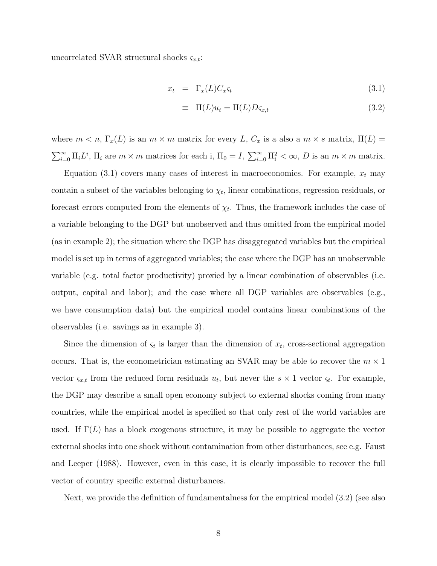uncorrelated SVAR structural shocks  $\varsigma_{x,t}$ :

$$
x_t = \Gamma_x(L)C_x \varsigma_t \tag{3.1}
$$

$$
\equiv \Pi(L)u_t = \Pi(L)D\varsigma_{x,t} \tag{3.2}
$$

where  $m < n$ ,  $\Gamma_x(L)$  is an  $m \times m$  matrix for every L,  $C_x$  is a also a  $m \times s$  matrix,  $\Pi(L) =$  $\sum_{i=0}^{\infty} \Pi_i L^i$ ,  $\Pi_i$  are  $m \times m$  matrices for each i,  $\Pi_0 = I$ ,  $\sum_{i=0}^{\infty} \Pi_i^2 < \infty$ , D is an  $m \times m$  matrix.

Equation (3.1) covers many cases of interest in macroeconomics. For example,  $x_t$  may contain a subset of the variables belonging to  $\chi_t$ , linear combinations, regression residuals, or forecast errors computed from the elements of  $\chi_t$ . Thus, the framework includes the case of a variable belonging to the DGP but unobserved and thus omitted from the empirical model (as in example 2); the situation where the DGP has disaggregated variables but the empirical model is set up in terms of aggregated variables; the case where the DGP has an unobservable variable (e.g. total factor productivity) proxied by a linear combination of observables (i.e. output, capital and labor); and the case where all DGP variables are observables (e.g., we have consumption data) but the empirical model contains linear combinations of the observables (i.e. savings as in example 3).

Since the dimension of  $\varsigma_t$  is larger than the dimension of  $x_t$ , cross-sectional aggregation occurs. That is, the econometrician estimating an SVAR may be able to recover the  $m \times 1$ vector  $\varsigma_{x,t}$  from the reduced form residuals  $u_t$ , but never the  $s \times 1$  vector  $\varsigma_t$ . For example, the DGP may describe a small open economy subject to external shocks coming from many countries, while the empirical model is specified so that only rest of the world variables are used. If  $\Gamma(L)$  has a block exogenous structure, it may be possible to aggregate the vector external shocks into one shock without contamination from other disturbances, see e.g. Faust and Leeper (1988). However, even in this case, it is clearly impossible to recover the full vector of country specific external disturbances.

Next, we provide the definition of fundamentalness for the empirical model (3.2) (see also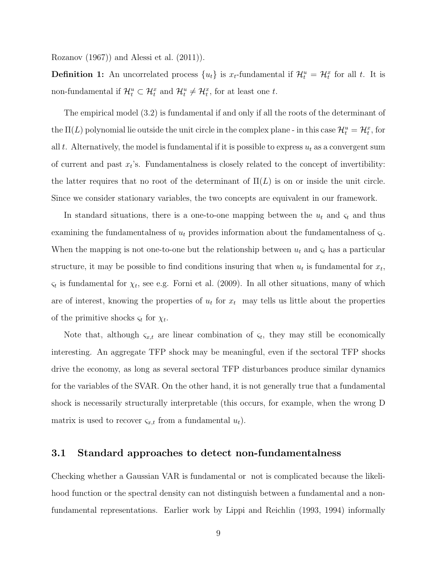Rozanov (1967)) and Alessi et al. (2011)).

**Definition 1:** An uncorrelated process  $\{u_t\}$  is  $x_t$ -fundamental if  $\mathcal{H}_t^u = \mathcal{H}_t^x$  for all t. It is non-fundamental if  $\mathcal{H}_t^u \subset \mathcal{H}_t^x$  and  $\mathcal{H}_t^u \neq \mathcal{H}_t^x$ , for at least one t.

The empirical model (3.2) is fundamental if and only if all the roots of the determinant of the  $\Pi(L)$  polynomial lie outside the unit circle in the complex plane - in this case  $\mathcal{H}_t^u = \mathcal{H}_t^x$ , for all t. Alternatively, the model is fundamental if it is possible to express  $u_t$  as a convergent sum of current and past  $x_t$ 's. Fundamentalness is closely related to the concept of invertibility: the latter requires that no root of the determinant of  $\Pi(L)$  is on or inside the unit circle. Since we consider stationary variables, the two concepts are equivalent in our framework.

In standard situations, there is a one-to-one mapping between the  $u_t$  and  $\varsigma_t$  and thus examining the fundamentalness of  $u_t$  provides information about the fundamentalness of  $\zeta_t$ . When the mapping is not one-to-one but the relationship between  $u_t$  and  $\varsigma_t$  has a particular structure, it may be possible to find conditions insuring that when  $u_t$  is fundamental for  $x_t$ ,  $\varsigma_t$  is fundamental for  $\chi_t$ , see e.g. Forni et al. (2009). In all other situations, many of which are of interest, knowing the properties of  $u_t$  for  $x_t$  may tells us little about the properties of the primitive shocks  $\varsigma_t$  for  $\chi_t$ .

Note that, although  $\zeta_{x,t}$  are linear combination of  $\zeta_t$ , they may still be economically interesting. An aggregate TFP shock may be meaningful, even if the sectoral TFP shocks drive the economy, as long as several sectoral TFP disturbances produce similar dynamics for the variables of the SVAR. On the other hand, it is not generally true that a fundamental shock is necessarily structurally interpretable (this occurs, for example, when the wrong D matrix is used to recover  $\varsigma_{x,t}$  from a fundamental  $u_t$ ).

#### 3.1 Standard approaches to detect non-fundamentalness

Checking whether a Gaussian VAR is fundamental or not is complicated because the likelihood function or the spectral density can not distinguish between a fundamental and a nonfundamental representations. Earlier work by Lippi and Reichlin (1993, 1994) informally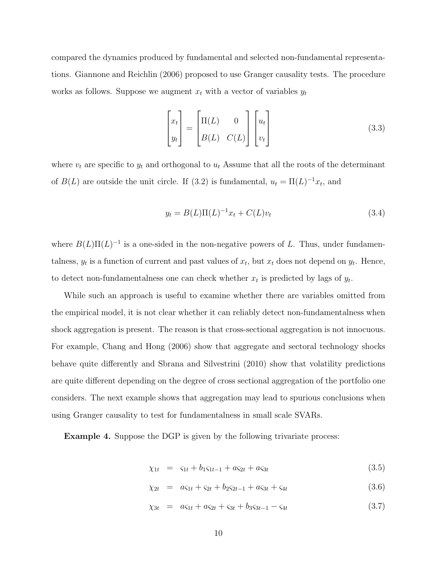compared the dynamics produced by fundamental and selected non-fundamental representations. Giannone and Reichlin (2006) proposed to use Granger causality tests. The procedure works as follows. Suppose we augment  $x_t$  with a vector of variables  $y_t$ 

$$
\begin{bmatrix} x_t \\ y_t \end{bmatrix} = \begin{bmatrix} \Pi(L) & 0 \\ B(L) & C(L) \end{bmatrix} \begin{bmatrix} u_t \\ v_t \end{bmatrix}
$$
 (3.3)

where  $v_t$  are specific to  $y_t$  and orthogonal to  $u_t$  Assume that all the roots of the determinant of  $B(L)$  are outside the unit circle. If (3.2) is fundamental,  $u_t = \Pi(L)^{-1}x_t$ , and

$$
y_t = B(L)\Pi(L)^{-1}x_t + C(L)v_t
$$
\n(3.4)

where  $B(L)\Pi(L)^{-1}$  is a one-sided in the non-negative powers of L. Thus, under fundamentalness,  $y_t$  is a function of current and past values of  $x_t$ , but  $x_t$  does not depend on  $y_t$ . Hence, to detect non-fundamentalness one can check whether  $x_t$  is predicted by lags of  $y_t$ .

While such an approach is useful to examine whether there are variables omitted from the empirical model, it is not clear whether it can reliably detect non-fundamentalness when shock aggregation is present. The reason is that cross-sectional aggregation is not innocuous. For example, Chang and Hong (2006) show that aggregate and sectoral technology shocks behave quite differently and Sbrana and Silvestrini (2010) show that volatility predictions are quite different depending on the degree of cross sectional aggregation of the portfolio one considers. The next example shows that aggregation may lead to spurious conclusions when using Granger causality to test for fundamentalness in small scale SVARs.

**Example 4.** Suppose the DGP is given by the following trivariate process:

$$
\chi_{1t} = \varsigma_{1t} + b_1 \varsigma_{1t-1} + a \varsigma_{2t} + a \varsigma_{3t} \tag{3.5}
$$

$$
\chi_{2t} = a\varsigma_{1t} + \varsigma_{2t} + b_2\varsigma_{2t-1} + a\varsigma_{3t} + \varsigma_{4t} \tag{3.6}
$$

$$
\chi_{3t} = a\varsigma_{1t} + a\varsigma_{2t} + \varsigma_{3t} + b_3\varsigma_{3t-1} - \varsigma_{4t} \tag{3.7}
$$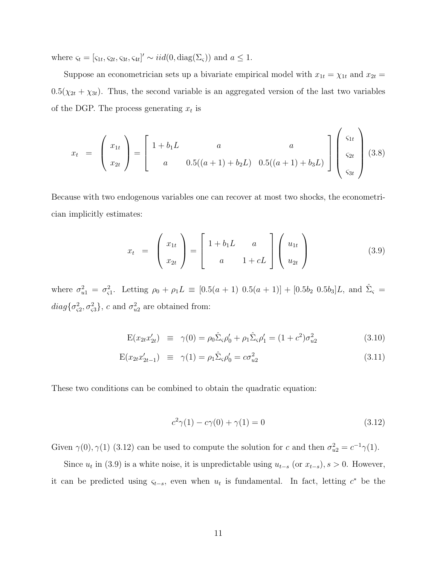where  $\varsigma_t = [\varsigma_{1t}, \varsigma_{2t}, \varsigma_{3t}, \varsigma_{4t}]' \sim \text{iid}(0, \text{diag}(\Sigma_{\varsigma}))$  and  $a \leq 1$ .

Suppose an econometrician sets up a bivariate empirical model with  $x_{1t} = \chi_{1t}$  and  $x_{2t} =$  $0.5(\chi_{2t} + \chi_{3t})$ . Thus, the second variable is an aggregated version of the last two variables of the DGP. The process generating  $x_t$  is

$$
x_{t} = \begin{pmatrix} x_{1t} \\ x_{2t} \end{pmatrix} = \begin{bmatrix} 1 + b_{1}L & a & a \\ a & 0.5((a+1) + b_{2}L) & 0.5((a+1) + b_{3}L) \end{bmatrix} \begin{pmatrix} \varsigma_{1t} \\ \varsigma_{2t} \\ \varsigma_{3t} \end{pmatrix} (3.8)
$$

Because with two endogenous variables one can recover at most two shocks, the econometrician implicitly estimates:

$$
x_t = \begin{pmatrix} x_{1t} \\ x_{2t} \end{pmatrix} = \begin{bmatrix} 1 + b_1 L & a \\ a & 1 + cL \end{bmatrix} \begin{pmatrix} u_{1t} \\ u_{2t} \end{pmatrix}
$$
(3.9)

where  $\sigma_{u1}^2 = \sigma_{c1}^2$ . Letting  $\rho_0 + \rho_1 L \equiv [0.5(a+1) 0.5(a+1)] + [0.5b_2 0.5b_3]L$ , and  $\hat{\Sigma}_{\varsigma}$  $diag\{\sigma_{\varsigma2}^2, \sigma_{\varsigma3}^2\}$ , c and  $\sigma_{u2}^2$  are obtained from:

$$
E(x_{2t}x'_{2t}) \equiv \gamma(0) = \rho_0 \hat{\Sigma}_{\varsigma} \rho'_0 + \rho_1 \hat{\Sigma}_{\varsigma} \rho'_1 = (1+c^2)\sigma_{u2}^2 \tag{3.10}
$$

$$
E(x_{2t}x'_{2t-1}) \equiv \gamma(1) = \rho_1 \hat{\Sigma}_{\varsigma} \rho'_0 = c\sigma_{u2}^2 \tag{3.11}
$$

These two conditions can be combined to obtain the quadratic equation:

$$
c^{2}\gamma(1) - c\gamma(0) + \gamma(1) = 0
$$
\n(3.12)

Given  $\gamma(0), \gamma(1)$  (3.12) can be used to compute the solution for c and then  $\sigma_{u2}^2 = c^{-1}\gamma(1)$ .

Since  $u_t$  in (3.9) is a white noise, it is unpredictable using  $u_{t-s}$  (or  $x_{t-s}$ ),  $s > 0$ . However, it can be predicted using  $\varsigma_{t-s}$ , even when  $u_t$  is fundamental. In fact, letting  $c^*$  be the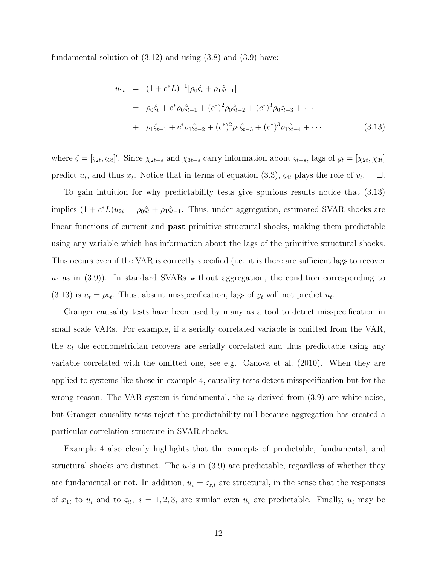fundamental solution of (3.12) and using (3.8) and (3.9) have:

$$
u_{2t} = (1 + c^* L)^{-1} [\rho_0 \hat{\zeta}_t + \rho_1 \hat{\zeta}_{t-1}]
$$
  
\n
$$
= \rho_0 \hat{\zeta}_t + c^* \rho_0 \hat{\zeta}_{t-1} + (c^*)^2 \rho_0 \hat{\zeta}_{t-2} + (c^*)^3 \rho_0 \hat{\zeta}_{t-3} + \cdots
$$
  
\n
$$
+ \rho_1 \hat{\zeta}_{t-1} + c^* \rho_1 \hat{\zeta}_{t-2} + (c^*)^2 \rho_1 \hat{\zeta}_{t-3} + (c^*)^3 \rho_1 \hat{\zeta}_{t-4} + \cdots
$$
(3.13)

where  $\hat{\zeta} = [\zeta_{2t}, \zeta_{3t}]'$ . Since  $\chi_{2t-s}$  and  $\chi_{3t-s}$  carry information about  $\zeta_{t-s}$ , lags of  $y_t = [\chi_{2t}, \chi_{3t}]$ predict  $u_t$ , and thus  $x_t$ . Notice that in terms of equation (3.3),  $\zeta_{4t}$  plays the role of  $v_t$  $\Box.$ 

To gain intuition for why predictability tests give spurious results notice that (3.13) implies  $(1 + c^*L)u_{2t} = \rho_0\hat{\varsigma}_t + \rho_1\hat{\varsigma}_{t-1}$ . Thus, under aggregation, estimated SVAR shocks are linear functions of current and past primitive structural shocks, making them predictable using any variable which has information about the lags of the primitive structural shocks. This occurs even if the VAR is correctly specified (i.e. it is there are sufficient lags to recover  $u_t$  as in (3.9)). In standard SVARs without aggregation, the condition corresponding to  $(3.13)$  is  $u_t = \rho \varsigma_t$ . Thus, absent misspecification, lags of  $y_t$  will not predict  $u_t$ .

Granger causality tests have been used by many as a tool to detect misspecification in small scale VARs. For example, if a serially correlated variable is omitted from the VAR, the  $u_t$  the econometrician recovers are serially correlated and thus predictable using any variable correlated with the omitted one, see e.g. Canova et al. (2010). When they are applied to systems like those in example 4, causality tests detect misspecification but for the wrong reason. The VAR system is fundamental, the  $u_t$  derived from  $(3.9)$  are white noise, but Granger causality tests reject the predictability null because aggregation has created a particular correlation structure in SVAR shocks.

Example 4 also clearly highlights that the concepts of predictable, fundamental, and structural shocks are distinct. The  $u_t$ 's in  $(3.9)$  are predictable, regardless of whether they are fundamental or not. In addition,  $u_t = \varsigma_{x,t}$  are structural, in the sense that the responses of  $x_{1t}$  to  $u_t$  and to  $\varsigma_{it}$ ,  $i = 1, 2, 3$ , are similar even  $u_t$  are predictable. Finally,  $u_t$  may be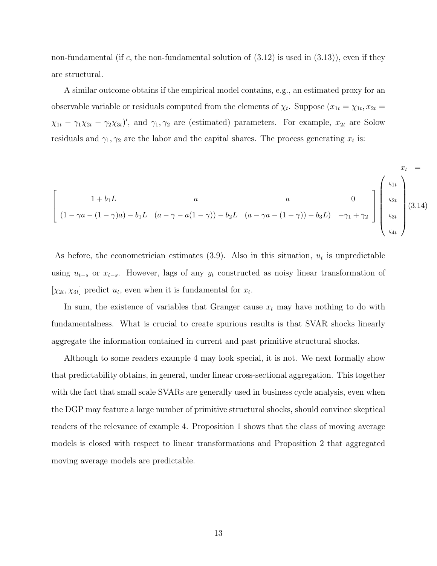non-fundamental (if c, the non-fundamental solution of  $(3.12)$  is used in  $(3.13)$ ), even if they are structural.

A similar outcome obtains if the empirical model contains, e.g., an estimated proxy for an observable variable or residuals computed from the elements of  $\chi_t$ . Suppose  $(x_{1t} = \chi_{1t}, x_{2t} =$  $\chi_{1t} - \gamma_1 \chi_{2t} - \gamma_2 \chi_{3t}$ , and  $\gamma_1, \gamma_2$  are (estimated) parameters. For example,  $x_{2t}$  are Solow residuals and  $\gamma_1, \gamma_2$  are the labor and the capital shares. The process generating  $x_t$  is:

$$
\begin{bmatrix}\nx_t = \\
1 + b_1 L & a \\
(1 - \gamma a - (1 - \gamma)a) - b_1 L & (a - \gamma - a(1 - \gamma)) - b_2 L & (a - \gamma a - (1 - \gamma)) - b_3 L & -\gamma_1 + \gamma_2\n\end{bmatrix}\n\begin{bmatrix}\ns_{1t} \\
s_{2t} \\
s_{3t} \\
s_{4t}\n\end{bmatrix}\n(3.14)
$$

As before, the econometrician estimates  $(3.9)$ . Also in this situation,  $u_t$  is unpredictable using  $u_{t-s}$  or  $x_{t-s}$ . However, lags of any  $y_t$  constructed as noisy linear transformation of  $[\chi_{2t}, \chi_{3t}]$  predict  $u_t$ , even when it is fundamental for  $x_t$ .

In sum, the existence of variables that Granger cause  $x_t$  may have nothing to do with fundamentalness. What is crucial to create spurious results is that SVAR shocks linearly aggregate the information contained in current and past primitive structural shocks.

Although to some readers example 4 may look special, it is not. We next formally show that predictability obtains, in general, under linear cross-sectional aggregation. This together with the fact that small scale SVARs are generally used in business cycle analysis, even when the DGP may feature a large number of primitive structural shocks, should convince skeptical readers of the relevance of example 4. Proposition 1 shows that the class of moving average models is closed with respect to linear transformations and Proposition 2 that aggregated moving average models are predictable.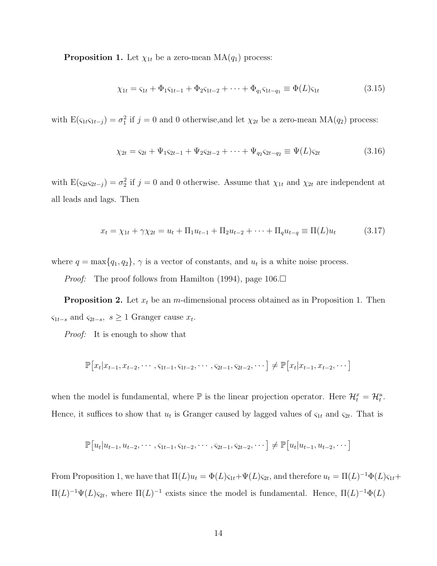**Proposition 1.** Let  $\chi_{1t}$  be a zero-mean MA( $q_1$ ) process:

$$
\chi_{1t} = \varsigma_{1t} + \Phi_1 \varsigma_{1t-1} + \Phi_2 \varsigma_{1t-2} + \dots + \Phi_{q_1} \varsigma_{1t-q_1} \equiv \Phi(L)\varsigma_{1t} \tag{3.15}
$$

with  $E(\varsigma_{1t}\varsigma_{1t-j}) = \sigma_1^2$  if  $j = 0$  and 0 otherwise, and let  $\chi_{2t}$  be a zero-mean  $MA(q_2)$  process:

$$
\chi_{2t} = \varsigma_{2t} + \Psi_1 \varsigma_{2t-1} + \Psi_2 \varsigma_{2t-2} + \dots + \Psi_{q_2} \varsigma_{2t-q_2} \equiv \Psi(L)\varsigma_{2t} \tag{3.16}
$$

with  $E(\varsigma_{2t}\varsigma_{2t-j}) = \sigma_2^2$  if  $j=0$  and 0 otherwise. Assume that  $\chi_{1t}$  and  $\chi_{2t}$  are independent at all leads and lags. Then

$$
x_t = \chi_{1t} + \gamma \chi_{2t} = u_t + \Pi_1 u_{t-1} + \Pi_2 u_{t-2} + \dots + \Pi_q u_{t-q} \equiv \Pi(L) u_t \tag{3.17}
$$

where  $q = \max\{q_1, q_2\}, \gamma$  is a vector of constants, and  $u_t$  is a white noise process.

*Proof:* The proof follows from Hamilton (1994), page 106.□

**Proposition 2.** Let  $x_t$  be an m-dimensional process obtained as in Proposition 1. Then  $\varsigma_{1t-s}$  and  $\varsigma_{2t-s}, s \geq 1$  Granger cause  $x_t$ .

*Proof:* It is enough to show that

$$
\mathbb{P}[x_t | x_{t-1}, x_{t-2}, \cdots, s_{1t-1}, s_{1t-2}, \cdots, s_{2t-1}, s_{2t-2}, \cdots] \neq \mathbb{P}[x_t | x_{t-1}, x_{t-2}, \cdots]
$$

when the model is fundamental, where  $\mathbb P$  is the linear projection operator. Here  $\mathcal{H}_t^x = \mathcal{H}_t^u$ . Hence, it suffices to show that  $u_t$  is Granger caused by lagged values of  $\varsigma_{1t}$  and  $\varsigma_{2t}$ . That is

$$
\mathbb{P}[u_t|u_{t-1}, u_{t-2}, \cdots, s_{1t-1}, s_{1t-2}, \cdots, s_{2t-1}, s_{2t-2}, \cdots] \neq \mathbb{P}[u_t|u_{t-1}, u_{t-2}, \cdots]
$$

From Proposition 1, we have that  $\Pi(L)u_t = \Phi(L)\varsigma_{1t} + \Psi(L)\varsigma_{2t}$ , and therefore  $u_t = \Pi(L)^{-1}\Phi(L)\varsigma_{1t} +$  $\Pi(L)^{-1}\Psi(L)$ <sub>S2t</sub>, where  $\Pi(L)^{-1}$  exists since the model is fundamental. Hence,  $\Pi(L)^{-1}\Phi(L)$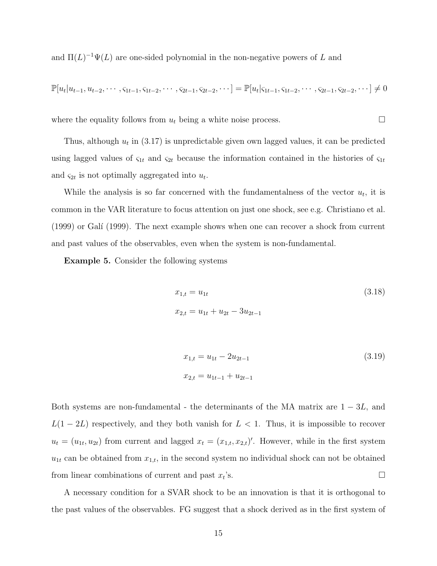and  $\Pi(L)^{-1}\Psi(L)$  are one-sided polynomial in the non-negative powers of L and

$$
\mathbb{P}[u_t|u_{t-1}, u_{t-2}, \cdots, s_{1t-1}, s_{1t-2}, \cdots, s_{2t-1}, s_{2t-2}, \cdots] = \mathbb{P}[u_t|s_{1t-1}, s_{1t-2}, \cdots, s_{2t-1}, s_{2t-2}, \cdots] \neq 0
$$

where the equality follows from  $u_t$  being a white noise process.  $\Box$ 

Thus, although  $u_t$  in (3.17) is unpredictable given own lagged values, it can be predicted using lagged values of  $\zeta_{1t}$  and  $\zeta_{2t}$  because the information contained in the histories of  $\zeta_{1t}$ and  $\varsigma_{2t}$  is not optimally aggregated into  $u_t$ .

While the analysis is so far concerned with the fundamentalness of the vector  $u_t$ , it is common in the VAR literature to focus attention on just one shock, see e.g. Christiano et al. (1999) or Gal´ı (1999). The next example shows when one can recover a shock from current and past values of the observables, even when the system is non-fundamental.

Example 5. Consider the following systems

$$
x_{1,t} = u_{1t}
$$
\n
$$
x_{2,t} = u_{1t} + u_{2t} - 3u_{2t-1}
$$
\n(3.18)

$$
x_{1,t} = u_{1t} - 2u_{2t-1}
$$
\n
$$
x_{2,t} = u_{1t-1} + u_{2t-1}
$$
\n(3.19)

Both systems are non-fundamental - the determinants of the MA matrix are  $1 - 3L$ , and  $L(1-2L)$  respectively, and they both vanish for  $L < 1$ . Thus, it is impossible to recover  $u_t = (u_{1t}, u_{2t})$  from current and lagged  $x_t = (x_{1,t}, x_{2,t})'$ . However, while in the first system  $u_{1t}$  can be obtained from  $x_{1,t}$ , in the second system no individual shock can not be obtained from linear combinations of current and past  $x_t$ 's.  $\mathcal{S}$ .

A necessary condition for a SVAR shock to be an innovation is that it is orthogonal to the past values of the observables. FG suggest that a shock derived as in the first system of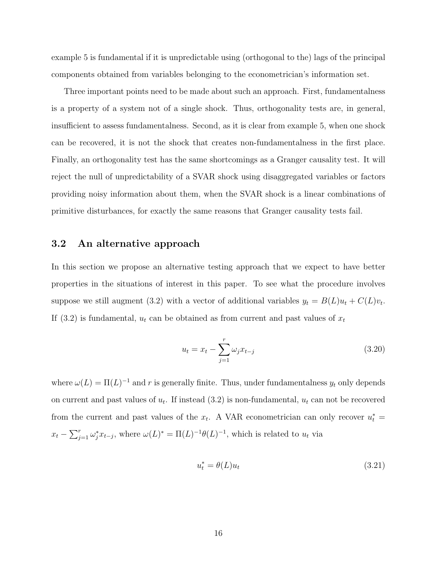example 5 is fundamental if it is unpredictable using (orthogonal to the) lags of the principal components obtained from variables belonging to the econometrician's information set.

Three important points need to be made about such an approach. First, fundamentalness is a property of a system not of a single shock. Thus, orthogonality tests are, in general, insufficient to assess fundamentalness. Second, as it is clear from example 5, when one shock can be recovered, it is not the shock that creates non-fundamentalness in the first place. Finally, an orthogonality test has the same shortcomings as a Granger causality test. It will reject the null of unpredictability of a SVAR shock using disaggregated variables or factors providing noisy information about them, when the SVAR shock is a linear combinations of primitive disturbances, for exactly the same reasons that Granger causality tests fail.

#### 3.2 An alternative approach

In this section we propose an alternative testing approach that we expect to have better properties in the situations of interest in this paper. To see what the procedure involves suppose we still augment (3.2) with a vector of additional variables  $y_t = B(L)u_t + C(L)v_t$ . If (3.2) is fundamental,  $u_t$  can be obtained as from current and past values of  $x_t$ 

$$
u_t = x_t - \sum_{j=1}^r \omega_j x_{t-j}
$$
\n(3.20)

where  $\omega(L) = \Pi(L)^{-1}$  and r is generally finite. Thus, under fundamentalness  $y_t$  only depends on current and past values of  $u_t$ . If instead  $(3.2)$  is non-fundamental,  $u_t$  can not be recovered from the current and past values of the  $x_t$ . A VAR econometrician can only recover  $u_t^* =$  $x_t - \sum_{j=1}^r \omega_j^* x_{t-j}$ , where  $\omega(L)^* = \Pi(L)^{-1} \theta(L)^{-1}$ , which is related to  $u_t$  via

$$
u_t^* = \theta(L)u_t \tag{3.21}
$$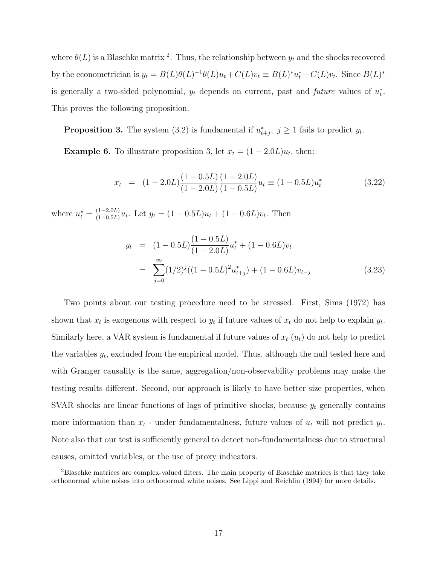where  $\theta(L)$  is a Blaschke matrix <sup>2</sup>. Thus, the relationship between  $y_t$  and the shocks recovered by the econometrician is  $y_t = B(L)\theta(L)^{-1}\theta(L)u_t + C(L)v_t \equiv B(L)^*u_t^* + C(L)v_t$ . Since  $B(L)^*$ is generally a two-sided polynomial,  $y_t$  depends on current, past and *future* values of  $u_t^*$  $\frac{*}{t}$ . This proves the following proposition.

**Proposition 3.** The system  $(3.2)$  is fundamental if  $u_t^*$  $t_{t+j}^*$ ,  $j \geq 1$  fails to predict  $y_t$ .

**Example 6.** To illustrate proposition 3, let  $x_t = (1 - 2.0L)u_t$ , then:

$$
x_t = (1 - 2.0L) \frac{(1 - 0.5L)}{(1 - 2.0L)} \frac{(1 - 2.0L)}{(1 - 0.5L)} u_t \equiv (1 - 0.5L) u_t^*
$$
\n(3.22)

where  $u_t^* = \frac{(1-2.0L)}{(1-0.5L)}$  $\frac{(1-2.0L)}{(1-0.5L)}u_t$ . Let  $y_t = (1-0.5L)u_t + (1-0.6L)v_t$ . Then

$$
y_t = (1 - 0.5L) \frac{(1 - 0.5L)}{(1 - 2.0L)} u_t^* + (1 - 0.6L) v_t
$$
  
= 
$$
\sum_{j=0}^{\infty} (1/2)^j ((1 - 0.5L)^2 u_{t+j}^*) + (1 - 0.6L) v_{t-j}
$$
(3.23)

Two points about our testing procedure need to be stressed. First, Sims (1972) has shown that  $x_t$  is exogenous with respect to  $y_t$  if future values of  $x_t$  do not help to explain  $y_t$ . Similarly here, a VAR system is fundamental if future values of  $x_t(u_t)$  do not help to predict the variables  $y_t$ , excluded from the empirical model. Thus, although the null tested here and with Granger causality is the same, aggregation/non-observability problems may make the testing results different. Second, our approach is likely to have better size properties, when SVAR shocks are linear functions of lags of primitive shocks, because  $y_t$  generally contains more information than  $x_t$  - under fundamentalness, future values of  $u_t$  will not predict  $y_t$ . Note also that our test is sufficiently general to detect non-fundamentalness due to structural causes, omitted variables, or the use of proxy indicators.

<sup>2</sup>Blaschke matrices are complex-valued filters. The main property of Blaschke matrices is that they take orthonormal white noises into orthonormal white noises. See Lippi and Reichlin (1994) for more details.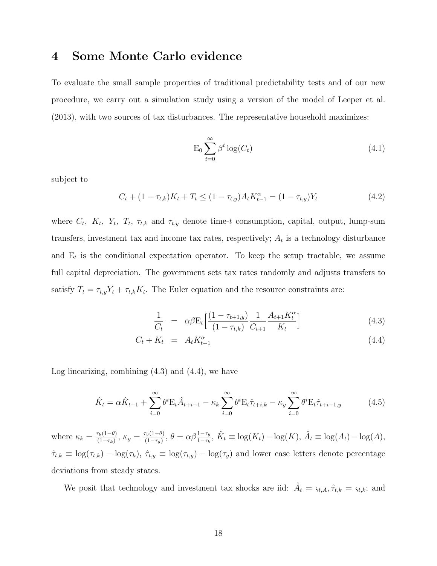#### 4 Some Monte Carlo evidence

To evaluate the small sample properties of traditional predictability tests and of our new procedure, we carry out a simulation study using a version of the model of Leeper et al. (2013), with two sources of tax disturbances. The representative household maximizes:

$$
E_0 \sum_{t=0}^{\infty} \beta^t \log(C_t)
$$
\n(4.1)

subject to

$$
C_t + (1 - \tau_{t,k})K_t + T_t \le (1 - \tau_{t,y})A_t K_{t-1}^{\alpha} = (1 - \tau_{t,y})Y_t
$$
\n(4.2)

where  $C_t$ ,  $K_t$ ,  $Y_t$ ,  $T_t$ ,  $\tau_{t,k}$  and  $\tau_{t,y}$  denote time-t consumption, capital, output, lump-sum transfers, investment tax and income tax rates, respectively;  $A_t$  is a technology disturbance and  $E_t$  is the conditional expectation operator. To keep the setup tractable, we assume full capital depreciation. The government sets tax rates randomly and adjusts transfers to satisfy  $T_t = \tau_{t,y} Y_t + \tau_{t,k} K_t$ . The Euler equation and the resource constraints are:

$$
\frac{1}{C_t} = \alpha \beta \mathcal{E}_t \left[ \frac{(1 - \tau_{t+1,y})}{(1 - \tau_{t,k})} \frac{1}{C_{t+1}} \frac{A_{t+1} K_t^{\alpha}}{K_t} \right]
$$
(4.3)

$$
C_t + K_t = A_t K_{t-1}^{\alpha} \tag{4.4}
$$

Log linearizing, combining  $(4.3)$  and  $(4.4)$ , we have

$$
\hat{K}_t = \alpha \hat{K}_{t-1} + \sum_{i=0}^{\infty} \theta^i E_t \hat{A}_{t+i+1} - \kappa_k \sum_{i=0}^{\infty} \theta^i E_t \hat{\tau}_{t+i,k} - \kappa_y \sum_{i=0}^{\infty} \theta^i E_t \hat{\tau}_{t+i+1,y}
$$
(4.5)

where  $\kappa_k = \frac{\tau_k(1-\theta)}{(1-\tau_k)}$  $\frac{\tau_k(1-\theta)}{(1-\tau_k)}, \ \kappa_y = \frac{\tau_y(1-\theta)}{(1-\tau_y)}$  $\frac{\Gamma_y(1-\theta)}{(1-\tau_y)}, \ \theta = \alpha\beta \frac{1-\tau_y}{1-\tau_k}, \ \hat{K}_t \equiv \log(K_t) - \log(K), \ \hat{A}_t \equiv \log(A_t) - \log(A),$  $\hat{\tau}_{t,k} \equiv \log(\tau_{t,k}) - \log(\tau_k)$ ,  $\hat{\tau}_{t,y} \equiv \log(\tau_{t,y}) - \log(\tau_y)$  and lower case letters denote percentage deviations from steady states.

We posit that technology and investment tax shocks are iid:  $\hat{A}_t = \varsigma_{t,A}, \hat{\tau}_{t,k} = \varsigma_{t,k}$ ; and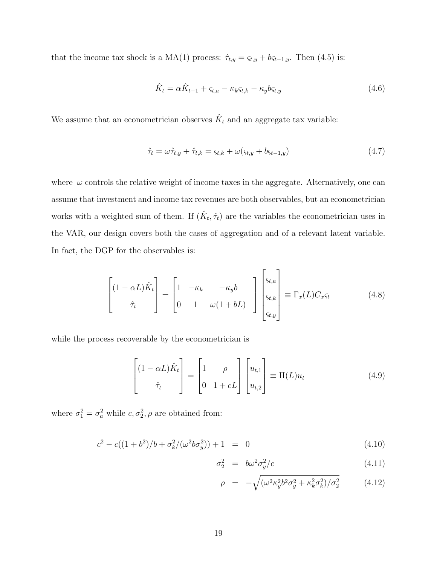that the income tax shock is a MA(1) process:  $\hat{\tau}_{t,y} = \varsigma_{t,y} + b\varsigma_{t-1,y}$ . Then (4.5) is:

$$
\hat{K}_t = \alpha \hat{K}_{t-1} + \varsigma_{t,a} - \kappa_k \varsigma_{t,k} - \kappa_y b \varsigma_{t,y} \tag{4.6}
$$

We assume that an econometrician observes  $\hat{K}_t$  and an aggregate tax variable:

$$
\hat{\tau}_t = \omega \hat{\tau}_{t,y} + \hat{\tau}_{t,k} = \varsigma_{t,k} + \omega(\varsigma_{t,y} + b\varsigma_{t-1,y})
$$
\n(4.7)

where  $\omega$  controls the relative weight of income taxes in the aggregate. Alternatively, one can assume that investment and income tax revenues are both observables, but an econometrician works with a weighted sum of them. If  $(\hat{K}_t, \hat{\tau}_t)$  are the variables the econometrician uses in the VAR, our design covers both the cases of aggregation and of a relevant latent variable. In fact, the DGP for the observables is:

$$
\begin{bmatrix}\n(1 - \alpha L)\hat{K}_t \\
\hat{\tau}_t\n\end{bmatrix} =\n\begin{bmatrix}\n1 & -\kappa_k & -\kappa_y b \\
0 & 1 & \omega(1 + bL)\n\end{bmatrix}\n\begin{bmatrix}\n\varsigma_{t,a} \\
\varsigma_{t,k} \\
\varsigma_{t,y}\n\end{bmatrix} \equiv \Gamma_x(L)C_x\varsigma_t\n\tag{4.8}
$$

while the process recoverable by the econometrician is

$$
\begin{bmatrix} (1 - \alpha L)\hat{K}_t \\ \hat{\tau}_t \end{bmatrix} = \begin{bmatrix} 1 & \rho \\ 0 & 1 + cL \end{bmatrix} \begin{bmatrix} u_{t,1} \\ u_{t,2} \end{bmatrix} \equiv \Pi(L)u_t \qquad (4.9)
$$

where  $\sigma_1^2 = \sigma_a^2$  while  $c, \sigma_2^2, \rho$  are obtained from:

$$
c^{2} - c((1+b^{2})/b + \sigma_{k}^{2}/(\omega^{2}b\sigma_{y}^{2})) + 1 = 0
$$
\n(4.10)

$$
\sigma_2^2 = b\omega^2 \sigma_y^2/c \tag{4.11}
$$

$$
\rho = -\sqrt{(\omega^2 \kappa_y^2 b^2 \sigma_y^2 + \kappa_k^2 \sigma_k^2)/\sigma_2^2} \tag{4.12}
$$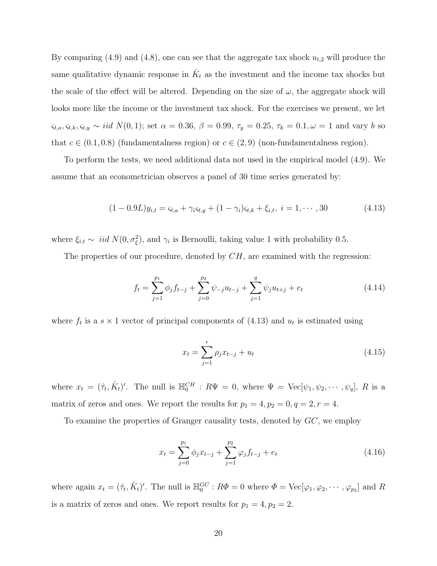By comparing (4.9) and (4.8), one can see that the aggregate tax shock  $u_{t,2}$  will produce the same qualitative dynamic response in  $\hat{K}_t$  as the investment and the income tax shocks but the scale of the effect will be altered. Depending on the size of  $\omega$ , the aggregate shock will looks more like the income or the investment tax shock. For the exercises we present, we let  $\varsigma_{t,a}, \varsigma_{t,k}, \varsigma_{t,y} \sim \text{iid } N(0, 1);$  set  $\alpha = 0.36, \beta = 0.99, \tau_y = 0.25, \tau_k = 0.1, \omega = 1$  and vary b so that  $c \in (0.1, 0.8)$  (fundamentalness region) or  $c \in (2, 9)$  (non-fundamentalness region).

To perform the tests, we need additional data not used in the empirical model (4.9). We assume that an econometrician observes a panel of 30 time series generated by:

$$
(1 - 0.9L)y_{i,t} = \varsigma_{t,a} + \gamma_i \varsigma_{t,y} + (1 - \gamma_i)\varsigma_{t,k} + \xi_{i,t}, \ i = 1, \cdots, 30
$$
\n(4.13)

where  $\xi_{i,t} \sim \text{iid } N(0, \sigma_{\xi}^2)$ , and  $\gamma_i$  is Bernoulli, taking value 1 with probability 0.5.

The properties of our procedure, denoted by  $CH$ , are examined with the regression:

$$
f_t = \sum_{j=1}^{p_1} \phi_j f_{t-j} + \sum_{j=0}^{p_2} \psi_{-j} u_{t-j} + \sum_{j=1}^q \psi_j u_{t+j} + e_t
$$
 (4.14)

where  $f_t$  is a  $s \times 1$  vector of principal components of  $(4.13)$  and  $u_t$  is estimated using

$$
x_t = \sum_{j=1}^r \rho_j x_{t-j} + u_t \tag{4.15}
$$

where  $x_t = (\hat{\tau}_t, \hat{K}_t)'$ . The null is  $\mathbb{H}_0^{CH}$ :  $R\Psi = 0$ , where  $\Psi = \text{Vec}[\psi_1, \psi_2, \cdots, \psi_q]$ , R is a matrix of zeros and ones. We report the results for  $p_1 = 4$ ,  $p_2 = 0$ ,  $q = 2$ ,  $r = 4$ .

To examine the properties of Granger causality tests, denoted by GC, we employ

$$
x_t = \sum_{j=0}^{p_1} \phi_j x_{t-j} + \sum_{j=1}^{p_2} \varphi_j f_{t-j} + e_t \tag{4.16}
$$

where again  $x_t = (\hat{\tau}_t, \hat{K}_t)'$ . The null is  $\mathbb{H}_0^{GC} : R\Phi = 0$  where  $\Phi = \text{Vec}[\varphi_1, \varphi_2, \cdots, \varphi_{p_2}]$  and R is a matrix of zeros and ones. We report results for  $p_1 = 4, p_2 = 2$ .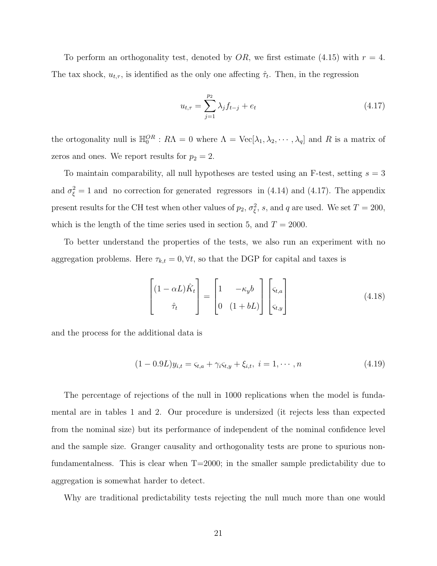To perform an orthogonality test, denoted by  $OR$ , we first estimate (4.15) with  $r = 4$ . The tax shock,  $u_{t,\tau}$ , is identified as the only one affecting  $\hat{\tau}_t$ . Then, in the regression

$$
u_{t,\tau} = \sum_{j=1}^{p_2} \lambda_j f_{t-j} + e_t \tag{4.17}
$$

the ortogonality null is  $\mathbb{H}_0^{OR}$ :  $R\Lambda = 0$  where  $\Lambda = \text{Vec}[\lambda_1, \lambda_2, \cdots, \lambda_q]$  and R is a matrix of zeros and ones. We report results for  $p_2 = 2$ .

To maintain comparability, all null hypotheses are tested using an F-test, setting  $s = 3$ and  $\sigma_{\xi}^2 = 1$  and no correction for generated regressors in (4.14) and (4.17). The appendix present results for the CH test when other values of  $p_2$ ,  $\sigma_{\xi}^2$ , s, and q are used. We set  $T = 200$ , which is the length of the time series used in section 5, and  $T = 2000$ .

To better understand the properties of the tests, we also run an experiment with no aggregation problems. Here  $\tau_{k,t} = 0, \forall t$ , so that the DGP for capital and taxes is

$$
\begin{bmatrix}\n(1 - \alpha L)\hat{K}_t \\
\hat{\tau}_t\n\end{bmatrix} = \begin{bmatrix}\n1 & -\kappa_y b \\
0 & (1 + bL)\n\end{bmatrix} \begin{bmatrix}\n\varsigma_{t,a} \\
\varsigma_{t,y}\n\end{bmatrix}
$$
\n(4.18)

and the process for the additional data is

$$
(1 - 0.9L)y_{i,t} = \varsigma_{t,a} + \gamma_i \varsigma_{t,y} + \xi_{i,t}, \ i = 1, \cdots, n \tag{4.19}
$$

The percentage of rejections of the null in 1000 replications when the model is fundamental are in tables 1 and 2. Our procedure is undersized (it rejects less than expected from the nominal size) but its performance of independent of the nominal confidence level and the sample size. Granger causality and orthogonality tests are prone to spurious nonfundamentalness. This is clear when  $T=2000$ ; in the smaller sample predictability due to aggregation is somewhat harder to detect.

Why are traditional predictability tests rejecting the null much more than one would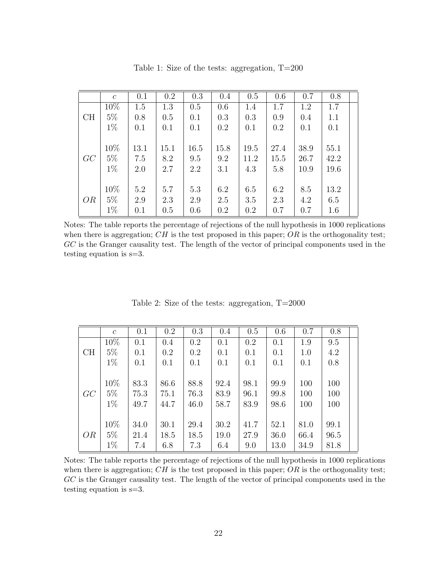|           | $\mathcal{C}$ | 0.1  | 0.2  | 0.3  | 0.4     | 0.5  | 0.6  | 0.7  | 0.8  |  |
|-----------|---------------|------|------|------|---------|------|------|------|------|--|
|           | 10%           | 1.5  | 1.3  | 0.5  | 0.6     | 1.4  | 1.7  | 1.2  | 1.7  |  |
| CH        | $5\%$         | 0.8  | 0.5  | 0.1  | 0.3     | 0.3  | 0.9  | 0.4  | 1.1  |  |
|           | $1\%$         | 0.1  | 0.1  | 0.1  | 0.2     | 0.1  | 0.2  | 0.1  | 0.1  |  |
|           |               |      |      |      |         |      |      |      |      |  |
|           | 10%           | 13.1 | 15.1 | 16.5 | 15.8    | 19.5 | 27.4 | 38.9 | 55.1 |  |
| GC        | $5\%$         | 7.5  | 8.2  | 9.5  | 9.2     | 11.2 | 15.5 | 26.7 | 42.2 |  |
|           | $1\%$         | 2.0  | 2.7  | 2.2  | 3.1     | 4.3  | 5.8  | 10.9 | 19.6 |  |
|           |               |      |      |      |         |      |      |      |      |  |
|           | 10%           | 5.2  | 5.7  | 5.3  | 6.2     | 6.5  | 6.2  | 8.5  | 13.2 |  |
| <i>OR</i> | $5\%$         | 2.9  | 2.3  | 2.9  | 2.5     | 3.5  | 2.3  | 4.2  | 6.5  |  |
|           | $1\%$         | 0.1  | 0.5  | 0.6  | $0.2\,$ | 0.2  | 0.7  | 0.7  | 1.6  |  |

Table 1: Size of the tests: aggregation, T=200

Notes: The table reports the percentage of rejections of the null hypothesis in 1000 replications when there is aggregation;  $CH$  is the test proposed in this paper;  $OR$  is the orthogonality test; GC is the Granger causality test. The length of the vector of principal components used in the testing equation is s=3.

|    | $\mathcal{C}$ | 0.1  | 0.2     | 0.3  | 0.4  | 0.5  | 0.6  | 0.7  | 0.8  |  |
|----|---------------|------|---------|------|------|------|------|------|------|--|
|    | 10%           | 0.1  | $0.4\,$ | 0.2  | 0.1  | 0.2  | 0.1  | 1.9  | 9.5  |  |
| CH | $5\%$         | 0.1  | $0.2\,$ | 0.2  | 0.1  | 0.1  | 0.1  | 1.0  | 4.2  |  |
|    | $1\%$         | 0.1  | 0.1     | 0.1  | 0.1  | 0.1  | 0.1  | 0.1  | 0.8  |  |
|    |               |      |         |      |      |      |      |      |      |  |
|    | 10%           | 83.3 | 86.6    | 88.8 | 92.4 | 98.1 | 99.9 | 100  | 100  |  |
| GC | $5\%$         | 75.3 | 75.1    | 76.3 | 83.9 | 96.1 | 99.8 | 100  | 100  |  |
|    | $1\%$         | 49.7 | 44.7    | 46.0 | 58.7 | 83.9 | 98.6 | 100  | 100  |  |
|    |               |      |         |      |      |      |      |      |      |  |
|    | 10%           | 34.0 | 30.1    | 29.4 | 30.2 | 41.7 | 52.1 | 81.0 | 99.1 |  |
| OR | $5\%$         | 21.4 | 18.5    | 18.5 | 19.0 | 27.9 | 36.0 | 66.4 | 96.5 |  |
|    | $1\%$         | 7.4  | 6.8     | 7.3  | 6.4  | 9.0  | 13.0 | 34.9 | 81.8 |  |

Table 2: Size of the tests: aggregation, T=2000

Notes: The table reports the percentage of rejections of the null hypothesis in 1000 replications when there is aggregation;  $CH$  is the test proposed in this paper;  $OR$  is the orthogonality test; GC is the Granger causality test. The length of the vector of principal components used in the testing equation is s=3.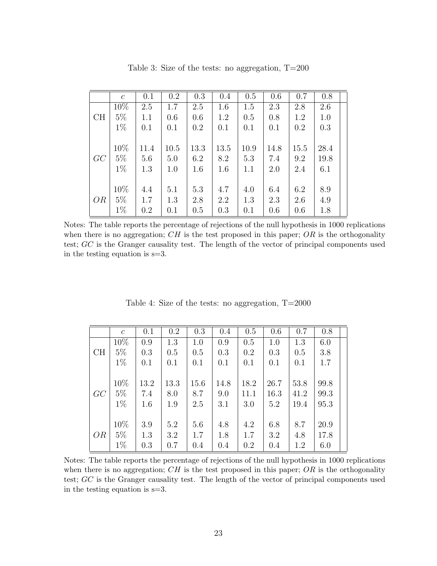|           | $\mathcal{C}$ | 0.1     | $0.2\,$ | 0.3  | 0.4  | 0.5  | 0.6  | 0.7  | 0.8  |
|-----------|---------------|---------|---------|------|------|------|------|------|------|
|           | 10%           | 2.5     | 1.7     | 2.5  | 1.6  | 1.5  | 2.3  | 2.8  | 2.6  |
| CH        | $5\%$         | 1.1     | 0.6     | 0.6  | 1.2  | 0.5  | 0.8  | 1.2  | 1.0  |
|           | $1\%$         | 0.1     | 0.1     | 0.2  | 0.1  | 0.1  | 0.1  | 0.2  | 0.3  |
|           |               |         |         |      |      |      |      |      |      |
|           | 10%           | 11.4    | 10.5    | 13.3 | 13.5 | 10.9 | 14.8 | 15.5 | 28.4 |
| GC        | $5\%$         | 5.6     | 5.0     | 6.2  | 8.2  | 5.3  | 7.4  | 9.2  | 19.8 |
|           | $1\%$         | 1.3     | 1.0     | 1.6  | 1.6  | 1.1  | 2.0  | 2.4  | 6.1  |
|           |               |         |         |      |      |      |      |      |      |
|           | 10%           | 4.4     | 5.1     | 5.3  | 4.7  | 4.0  | 6.4  | 6.2  | 8.9  |
| <i>OR</i> | $5\%$         | 1.7     | 1.3     | 2.8  | 2.2  | 1.3  | 2.3  | 2.6  | 4.9  |
|           | $1\%$         | $0.2\,$ | 0.1     | 0.5  | 0.3  | 0.1  | 0.6  | 0.6  | 1.8  |

Table 3: Size of the tests: no aggregation, T=200

Notes: The table reports the percentage of rejections of the null hypothesis in 1000 replications when there is no aggregation;  $CH$  is the test proposed in this paper;  $OR$  is the orthogonality test; GC is the Granger causality test. The length of the vector of principal components used in the testing equation is s=3.

|    | $\mathcal{C}$ | 0.1  | 0.2  | 0.3  | 0.4  | 0.5  | 0.6  | 0.7  | 0.8  |  |
|----|---------------|------|------|------|------|------|------|------|------|--|
|    | 10%           | 0.9  | 1.3  | 1.0  | 0.9  | 0.5  | 1.0  | 1.3  | 6.0  |  |
| CH | $5\%$         | 0.3  | 0.5  | 0.5  | 0.3  | 0.2  | 0.3  | 0.5  | 3.8  |  |
|    | $1\%$         | 0.1  | 0.1  | 0.1  | 0.1  | 0.1  | 0.1  | 0.1  | 1.7  |  |
|    |               |      |      |      |      |      |      |      |      |  |
|    | 10%           | 13.2 | 13.3 | 15.6 | 14.8 | 18.2 | 26.7 | 53.8 | 99.8 |  |
| GC | $5\%$         | 7.4  | 8.0  | 8.7  | 9.0  | 11.1 | 16.3 | 41.2 | 99.3 |  |
|    | $1\%$         | 1.6  | 1.9  | 2.5  | 3.1  | 3.0  | 5.2  | 19.4 | 95.3 |  |
|    |               |      |      |      |      |      |      |      |      |  |
|    | 10%           | 3.9  | 5.2  | 5.6  | 4.8  | 4.2  | 6.8  | 8.7  | 20.9 |  |
| OR | $5\%$         | 1.3  | 3.2  | 1.7  | 1.8  | 1.7  | 3.2  | 4.8  | 17.8 |  |
|    | $1\%$         | 0.3  | 0.7  | 0.4  | 0.4  | 0.2  | 0.4  | 1.2  | 6.0  |  |

Table 4: Size of the tests: no aggregation, T=2000

Notes: The table reports the percentage of rejections of the null hypothesis in 1000 replications when there is no aggregation;  $CH$  is the test proposed in this paper;  $OR$  is the orthogonality test; GC is the Granger causality test. The length of the vector of principal components used in the testing equation is s=3.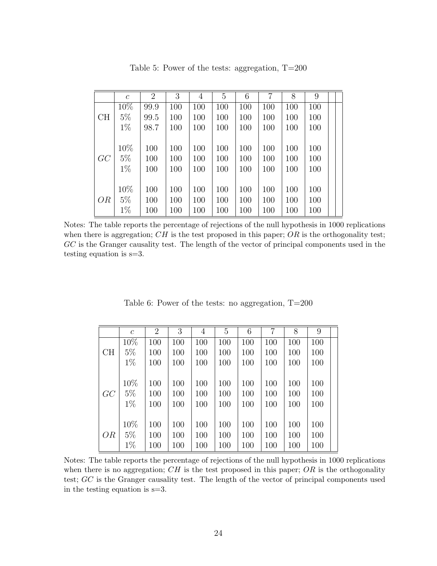|    | $\mathcal{C}$ | 2    | 3   | 4   | 5   | 6   | 7   | 8   | 9   |  |
|----|---------------|------|-----|-----|-----|-----|-----|-----|-----|--|
|    | 10%           | 99.9 | 100 | 100 | 100 | 100 | 100 | 100 | 100 |  |
| CH | $5\%$         | 99.5 | 100 | 100 | 100 | 100 | 100 | 100 | 100 |  |
|    | $1\%$         | 98.7 | 100 | 100 | 100 | 100 | 100 | 100 | 100 |  |
|    |               |      |     |     |     |     |     |     |     |  |
|    | 10%           | 100  | 100 | 100 | 100 | 100 | 100 | 100 | 100 |  |
| GC | $5\%$         | 100  | 100 | 100 | 100 | 100 | 100 | 100 | 100 |  |
|    | $1\%$         | 100  | 100 | 100 | 100 | 100 | 100 | 100 | 100 |  |
|    |               |      |     |     |     |     |     |     |     |  |
|    | 10%           | 100  | 100 | 100 | 100 | 100 | 100 | 100 | 100 |  |
| OR | $5\%$         | 100  | 100 | 100 | 100 | 100 | 100 | 100 | 100 |  |
|    | $1\%$         | 100  | 100 | 100 | 100 | 100 | 100 | 100 | 100 |  |

Table 5: Power of the tests: aggregation, T=200

Notes: The table reports the percentage of rejections of the null hypothesis in 1000 replications when there is aggregation;  $CH$  is the test proposed in this paper;  $OR$  is the orthogonality test; GC is the Granger causality test. The length of the vector of principal components used in the testing equation is s=3.

|    | $\mathfrak c$ | $\overline{2}$ | 3   | 4   | 5   | 6   | 7   | 8   | 9   |  |
|----|---------------|----------------|-----|-----|-----|-----|-----|-----|-----|--|
|    | 10%           | 100            | 100 | 100 | 100 | 100 | 100 | 100 | 100 |  |
| CH | $5\%$         | 100            | 100 | 100 | 100 | 100 | 100 | 100 | 100 |  |
|    | $1\%$         | 100            | 100 | 100 | 100 | 100 | 100 | 100 | 100 |  |
|    |               |                |     |     |     |     |     |     |     |  |
|    | 10%           | 100            | 100 | 100 | 100 | 100 | 100 | 100 | 100 |  |
| GC | $5\%$         | 100            | 100 | 100 | 100 | 100 | 100 | 100 | 100 |  |
|    | $1\%$         | 100            | 100 | 100 | 100 | 100 | 100 | 100 | 100 |  |
|    |               |                |     |     |     |     |     |     |     |  |
|    | 10%           | 100            | 100 | 100 | 100 | 100 | 100 | 100 | 100 |  |
| OR | $5\%$         | 100            | 100 | 100 | 100 | 100 | 100 | 100 | 100 |  |
|    | $1\%$         | 100            | 100 | 100 | 100 | 100 | 100 | 100 | 100 |  |

Table 6: Power of the tests: no aggregation, T=200

Notes: The table reports the percentage of rejections of the null hypothesis in 1000 replications when there is no aggregation;  $CH$  is the test proposed in this paper;  $OR$  is the orthogonality test; GC is the Granger causality test. The length of the vector of principal components used in the testing equation is s=3.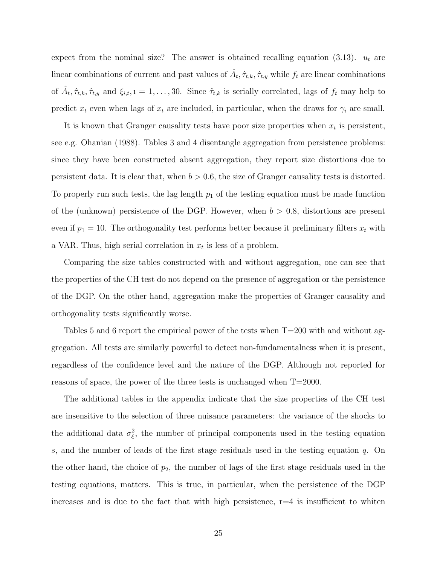expect from the nominal size? The answer is obtained recalling equation (3.13).  $u_t$  are linear combinations of current and past values of  $\hat{A}_t, \hat{\tau}_{t,k}, \hat{\tau}_{t,y}$  while  $f_t$  are linear combinations of  $\hat{A}_t, \hat{\tau}_{t,k}, \hat{\tau}_{t,y}$  and  $\xi_{i,t}, i = 1, \ldots, 30$ . Since  $\hat{\tau}_{t,k}$  is serially correlated, lags of  $f_t$  may help to predict  $x_t$  even when lags of  $x_t$  are included, in particular, when the draws for  $\gamma_i$  are small.

It is known that Granger causality tests have poor size properties when  $x_t$  is persistent, see e.g. Ohanian (1988). Tables 3 and 4 disentangle aggregation from persistence problems: since they have been constructed absent aggregation, they report size distortions due to persistent data. It is clear that, when  $b > 0.6$ , the size of Granger causality tests is distorted. To properly run such tests, the lag length  $p_1$  of the testing equation must be made function of the (unknown) persistence of the DGP. However, when  $b > 0.8$ , distortions are present even if  $p_1 = 10$ . The orthogonality test performs better because it preliminary filters  $x_t$  with a VAR. Thus, high serial correlation in  $x_t$  is less of a problem.

Comparing the size tables constructed with and without aggregation, one can see that the properties of the CH test do not depend on the presence of aggregation or the persistence of the DGP. On the other hand, aggregation make the properties of Granger causality and orthogonality tests significantly worse.

Tables 5 and 6 report the empirical power of the tests when T=200 with and without aggregation. All tests are similarly powerful to detect non-fundamentalness when it is present, regardless of the confidence level and the nature of the DGP. Although not reported for reasons of space, the power of the three tests is unchanged when  $T=2000$ .

The additional tables in the appendix indicate that the size properties of the CH test are insensitive to the selection of three nuisance parameters: the variance of the shocks to the additional data  $\sigma_{\xi}^2$ , the number of principal components used in the testing equation s, and the number of leads of the first stage residuals used in the testing equation  $q$ . On the other hand, the choice of  $p_2$ , the number of lags of the first stage residuals used in the testing equations, matters. This is true, in particular, when the persistence of the DGP increases and is due to the fact that with high persistence,  $r=4$  is insufficient to whiten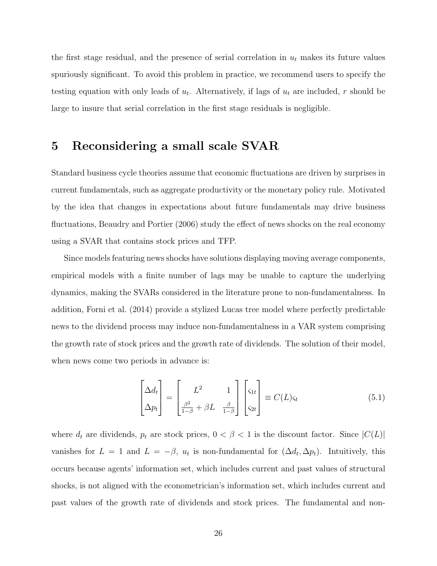the first stage residual, and the presence of serial correlation in  $u_t$  makes its future values spuriously significant. To avoid this problem in practice, we recommend users to specify the testing equation with only leads of  $u_t$ . Alternatively, if lags of  $u_t$  are included, r should be large to insure that serial correlation in the first stage residuals is negligible.

#### 5 Reconsidering a small scale SVAR

Standard business cycle theories assume that economic fluctuations are driven by surprises in current fundamentals, such as aggregate productivity or the monetary policy rule. Motivated by the idea that changes in expectations about future fundamentals may drive business fluctuations, Beaudry and Portier (2006) study the effect of news shocks on the real economy using a SVAR that contains stock prices and TFP.

Since models featuring news shocks have solutions displaying moving average components, empirical models with a finite number of lags may be unable to capture the underlying dynamics, making the SVARs considered in the literature prone to non-fundamentalness. In addition, Forni et al. (2014) provide a stylized Lucas tree model where perfectly predictable news to the dividend process may induce non-fundamentalness in a VAR system comprising the growth rate of stock prices and the growth rate of dividends. The solution of their model, when news come two periods in advance is:

$$
\begin{bmatrix} \Delta d_t \\ \Delta p_t \end{bmatrix} = \begin{bmatrix} L^2 & 1 \\ \frac{\beta^2}{1-\beta} + \beta L & \frac{\beta}{1-\beta} \end{bmatrix} \begin{bmatrix} \varsigma_{1t} \\ \varsigma_{2t} \end{bmatrix} \equiv C(L)\varsigma_t
$$
 (5.1)

where  $d_t$  are dividends,  $p_t$  are stock prices,  $0 < \beta < 1$  is the discount factor. Since  $|C(L)|$ vanishes for  $L = 1$  and  $L = -\beta$ ,  $u_t$  is non-fundamental for  $(\Delta d_t, \Delta p_t)$ . Intuitively, this occurs because agents' information set, which includes current and past values of structural shocks, is not aligned with the econometrician's information set, which includes current and past values of the growth rate of dividends and stock prices. The fundamental and non-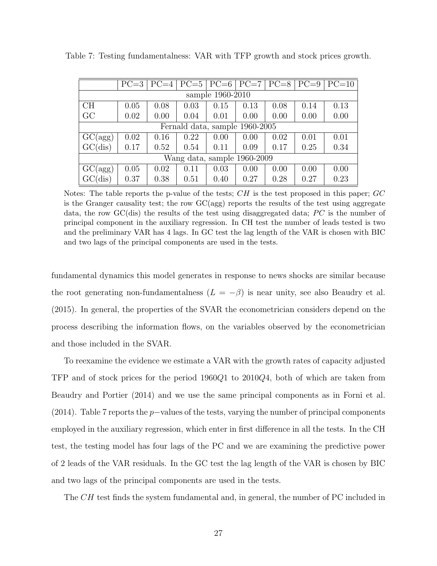|                  | $PC=3$                         |      |      | $PC=4$   $PC=5$   $PC=6$ |      |      | $ PC=7 PC=8 PC=9 $ | $PC=10$ |  |  |  |  |  |
|------------------|--------------------------------|------|------|--------------------------|------|------|--------------------|---------|--|--|--|--|--|
| sample 1960-2010 |                                |      |      |                          |      |      |                    |         |  |  |  |  |  |
| CH               | 0.05                           | 0.08 | 0.03 | 0.15                     | 0.13 | 0.08 | 0.14               | 0.13    |  |  |  |  |  |
| GC               | 0.02                           | 0.00 | 0.04 | 0.01                     | 0.00 | 0.00 | 0.00               | 0.00    |  |  |  |  |  |
|                  | Fernald data, sample 1960-2005 |      |      |                          |      |      |                    |         |  |  |  |  |  |
| GC(agg)          | 0.02                           | 0.16 | 0.22 | 0.00                     | 0.00 | 0.02 | 0.01               | 0.01    |  |  |  |  |  |
| GC(dis)          | 0.17                           | 0.52 | 0.54 | 0.11                     | 0.09 | 0.17 | 0.25               | 0.34    |  |  |  |  |  |
|                  | Wang data, sample 1960-2009    |      |      |                          |      |      |                    |         |  |  |  |  |  |
| GC(agg)          | 0.05                           | 0.02 | 0.11 | 0.03                     | 0.00 | 0.00 | 0.00               | 0.00    |  |  |  |  |  |
| GC(dis)          | 0.37                           | 0.38 | 0.51 | 0.40                     | 0.27 | 0.28 | 0.27               | 0.23    |  |  |  |  |  |

Table 7: Testing fundamentalness: VAR with TFP growth and stock prices growth.

Notes: The table reports the p-value of the tests;  $CH$  is the test proposed in this paper;  $GC$ is the Granger causality test; the row  $GC(agg)$  reports the results of the test using aggregate data, the row  $GC$  (dis) the results of the test using disaggregated data;  $PC$  is the number of principal component in the auxiliary regression. In CH test the number of leads tested is two and the preliminary VAR has 4 lags. In GC test the lag length of the VAR is chosen with BIC and two lags of the principal components are used in the tests.

fundamental dynamics this model generates in response to news shocks are similar because the root generating non-fundamentalness  $(L = -\beta)$  is near unity, see also Beaudry et al. (2015). In general, the properties of the SVAR the econometrician considers depend on the process describing the information flows, on the variables observed by the econometrician and those included in the SVAR.

To reexamine the evidence we estimate a VAR with the growth rates of capacity adjusted TFP and of stock prices for the period 1960Q1 to 2010Q4, both of which are taken from Beaudry and Portier (2014) and we use the same principal components as in Forni et al. (2014). Table 7 reports the p−values of the tests, varying the number of principal components employed in the auxiliary regression, which enter in first difference in all the tests. In the CH test, the testing model has four lags of the PC and we are examining the predictive power of 2 leads of the VAR residuals. In the GC test the lag length of the VAR is chosen by BIC and two lags of the principal components are used in the tests.

The CH test finds the system fundamental and, in general, the number of PC included in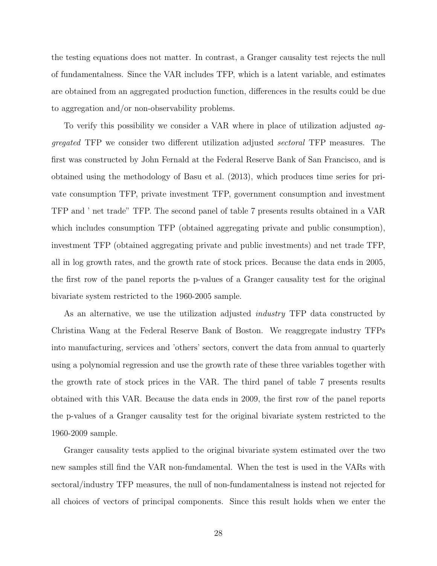the testing equations does not matter. In contrast, a Granger causality test rejects the null of fundamentalness. Since the VAR includes TFP, which is a latent variable, and estimates are obtained from an aggregated production function, differences in the results could be due to aggregation and/or non-observability problems.

To verify this possibility we consider a VAR where in place of utilization adjusted *aggregated* TFP we consider two different utilization adjusted *sectoral* TFP measures. The first was constructed by John Fernald at the Federal Reserve Bank of San Francisco, and is obtained using the methodology of Basu et al. (2013), which produces time series for private consumption TFP, private investment TFP, government consumption and investment TFP and ' net trade" TFP. The second panel of table 7 presents results obtained in a VAR which includes consumption TFP (obtained aggregating private and public consumption), investment TFP (obtained aggregating private and public investments) and net trade TFP, all in log growth rates, and the growth rate of stock prices. Because the data ends in 2005, the first row of the panel reports the p-values of a Granger causality test for the original bivariate system restricted to the 1960-2005 sample.

As an alternative, we use the utilization adjusted *industry* TFP data constructed by Christina Wang at the Federal Reserve Bank of Boston. We reaggregate industry TFPs into manufacturing, services and 'others' sectors, convert the data from annual to quarterly using a polynomial regression and use the growth rate of these three variables together with the growth rate of stock prices in the VAR. The third panel of table 7 presents results obtained with this VAR. Because the data ends in 2009, the first row of the panel reports the p-values of a Granger causality test for the original bivariate system restricted to the 1960-2009 sample.

Granger causality tests applied to the original bivariate system estimated over the two new samples still find the VAR non-fundamental. When the test is used in the VARs with sectoral/industry TFP measures, the null of non-fundamentalness is instead not rejected for all choices of vectors of principal components. Since this result holds when we enter the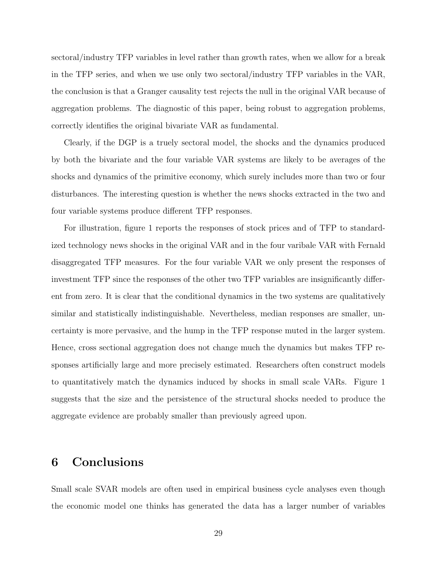sectoral/industry TFP variables in level rather than growth rates, when we allow for a break in the TFP series, and when we use only two sectoral/industry TFP variables in the VAR, the conclusion is that a Granger causality test rejects the null in the original VAR because of aggregation problems. The diagnostic of this paper, being robust to aggregation problems, correctly identifies the original bivariate VAR as fundamental.

Clearly, if the DGP is a truely sectoral model, the shocks and the dynamics produced by both the bivariate and the four variable VAR systems are likely to be averages of the shocks and dynamics of the primitive economy, which surely includes more than two or four disturbances. The interesting question is whether the news shocks extracted in the two and four variable systems produce different TFP responses.

For illustration, figure 1 reports the responses of stock prices and of TFP to standardized technology news shocks in the original VAR and in the four varibale VAR with Fernald disaggregated TFP measures. For the four variable VAR we only present the responses of investment TFP since the responses of the other two TFP variables are insignificantly different from zero. It is clear that the conditional dynamics in the two systems are qualitatively similar and statistically indistinguishable. Nevertheless, median responses are smaller, uncertainty is more pervasive, and the hump in the TFP response muted in the larger system. Hence, cross sectional aggregation does not change much the dynamics but makes TFP responses artificially large and more precisely estimated. Researchers often construct models to quantitatively match the dynamics induced by shocks in small scale VARs. Figure 1 suggests that the size and the persistence of the structural shocks needed to produce the aggregate evidence are probably smaller than previously agreed upon.

### 6 Conclusions

Small scale SVAR models are often used in empirical business cycle analyses even though the economic model one thinks has generated the data has a larger number of variables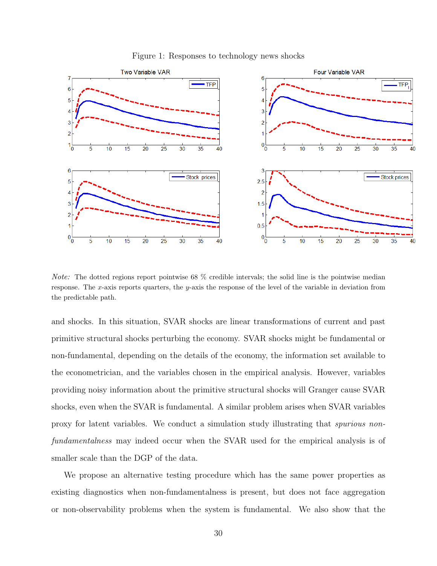

Figure 1: Responses to technology news shocks

Note: The dotted regions report pointwise 68 % credible intervals; the solid line is the pointwise median response. The x-axis reports quarters, the y-axis the response of the level of the variable in deviation from the predictable path.

and shocks. In this situation, SVAR shocks are linear transformations of current and past primitive structural shocks perturbing the economy. SVAR shocks might be fundamental or non-fundamental, depending on the details of the economy, the information set available to the econometrician, and the variables chosen in the empirical analysis. However, variables providing noisy information about the primitive structural shocks will Granger cause SVAR shocks, even when the SVAR is fundamental. A similar problem arises when SVAR variables proxy for latent variables. We conduct a simulation study illustrating that *spurious nonfundamentalness* may indeed occur when the SVAR used for the empirical analysis is of smaller scale than the DGP of the data.

We propose an alternative testing procedure which has the same power properties as existing diagnostics when non-fundamentalness is present, but does not face aggregation or non-observability problems when the system is fundamental. We also show that the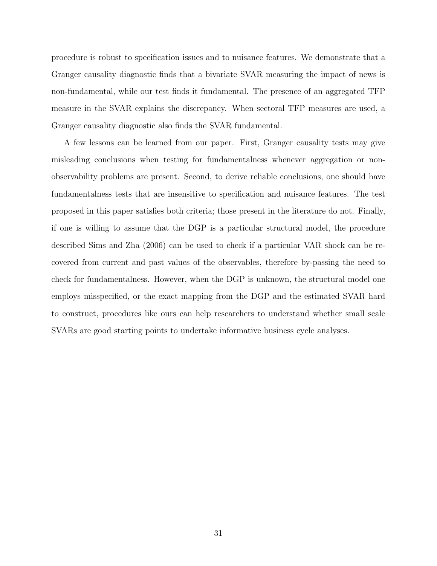procedure is robust to specification issues and to nuisance features. We demonstrate that a Granger causality diagnostic finds that a bivariate SVAR measuring the impact of news is non-fundamental, while our test finds it fundamental. The presence of an aggregated TFP measure in the SVAR explains the discrepancy. When sectoral TFP measures are used, a Granger causality diagnostic also finds the SVAR fundamental.

A few lessons can be learned from our paper. First, Granger causality tests may give misleading conclusions when testing for fundamentalness whenever aggregation or nonobservability problems are present. Second, to derive reliable conclusions, one should have fundamentalness tests that are insensitive to specification and nuisance features. The test proposed in this paper satisfies both criteria; those present in the literature do not. Finally, if one is willing to assume that the DGP is a particular structural model, the procedure described Sims and Zha (2006) can be used to check if a particular VAR shock can be recovered from current and past values of the observables, therefore by-passing the need to check for fundamentalness. However, when the DGP is unknown, the structural model one employs misspecified, or the exact mapping from the DGP and the estimated SVAR hard to construct, procedures like ours can help researchers to understand whether small scale SVARs are good starting points to undertake informative business cycle analyses.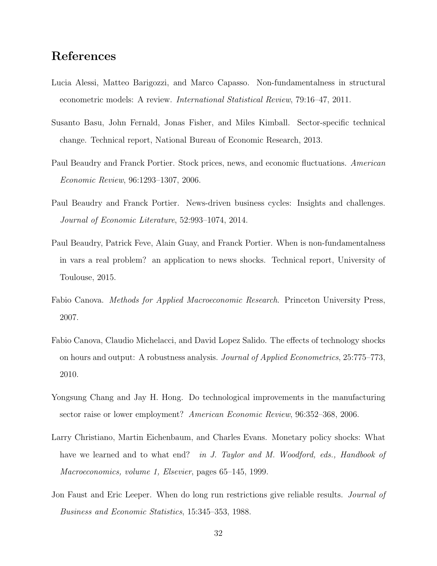### References

- Lucia Alessi, Matteo Barigozzi, and Marco Capasso. Non-fundamentalness in structural econometric models: A review. *International Statistical Review*, 79:16–47, 2011.
- Susanto Basu, John Fernald, Jonas Fisher, and Miles Kimball. Sector-specific technical change. Technical report, National Bureau of Economic Research, 2013.
- Paul Beaudry and Franck Portier. Stock prices, news, and economic fluctuations. *American Economic Review*, 96:1293–1307, 2006.
- Paul Beaudry and Franck Portier. News-driven business cycles: Insights and challenges. *Journal of Economic Literature*, 52:993–1074, 2014.
- Paul Beaudry, Patrick Feve, Alain Guay, and Franck Portier. When is non-fundamentalness in vars a real problem? an application to news shocks. Technical report, University of Toulouse, 2015.
- Fabio Canova. *Methods for Applied Macroeconomic Research*. Princeton University Press, 2007.
- Fabio Canova, Claudio Michelacci, and David Lopez Salido. The effects of technology shocks on hours and output: A robustness analysis. *Journal of Applied Econometrics*, 25:775–773, 2010.
- Yongsung Chang and Jay H. Hong. Do technological improvements in the manufacturing sector raise or lower employment? *American Economic Review*, 96:352–368, 2006.
- Larry Christiano, Martin Eichenbaum, and Charles Evans. Monetary policy shocks: What have we learned and to what end? *in J. Taylor and M. Woodford, eds., Handbook of Macroeconomics, volume 1, Elsevier*, pages 65–145, 1999.
- Jon Faust and Eric Leeper. When do long run restrictions give reliable results. *Journal of Business and Economic Statistics*, 15:345–353, 1988.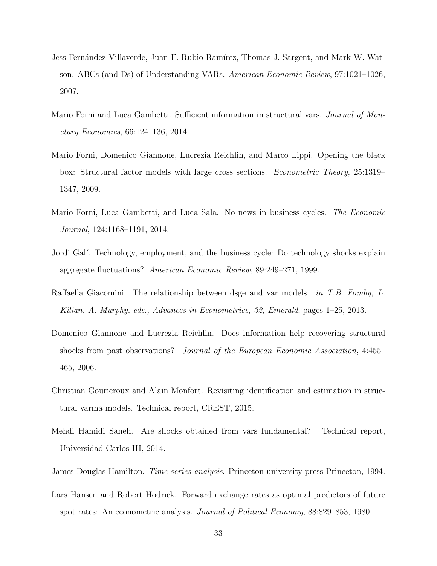- Jess Fernández-Villaverde, Juan F. Rubio-Ramírez, Thomas J. Sargent, and Mark W. Watson. ABCs (and Ds) of Understanding VARs. *American Economic Review*, 97:1021–1026, 2007.
- Mario Forni and Luca Gambetti. Sufficient information in structural vars. *Journal of Monetary Economics*, 66:124–136, 2014.
- Mario Forni, Domenico Giannone, Lucrezia Reichlin, and Marco Lippi. Opening the black box: Structural factor models with large cross sections. *Econometric Theory*, 25:1319– 1347, 2009.
- Mario Forni, Luca Gambetti, and Luca Sala. No news in business cycles. *The Economic Journal*, 124:1168–1191, 2014.
- Jordi Galí. Technology, employment, and the business cycle: Do technology shocks explain aggregate fluctuations? *American Economic Review*, 89:249–271, 1999.
- Raffaella Giacomini. The relationship between dsge and var models. *in T.B. Fomby, L. Kilian, A. Murphy, eds., Advances in Econometrics, 32, Emerald*, pages 1–25, 2013.
- Domenico Giannone and Lucrezia Reichlin. Does information help recovering structural shocks from past observations? *Journal of the European Economic Association*, 4:455– 465, 2006.
- Christian Gourieroux and Alain Monfort. Revisiting identification and estimation in structural varma models. Technical report, CREST, 2015.
- Mehdi Hamidi Saneh. Are shocks obtained from vars fundamental? Technical report, Universidad Carlos III, 2014.
- James Douglas Hamilton. *Time series analysis*. Princeton university press Princeton, 1994.
- Lars Hansen and Robert Hodrick. Forward exchange rates as optimal predictors of future spot rates: An econometric analysis. *Journal of Political Economy*, 88:829–853, 1980.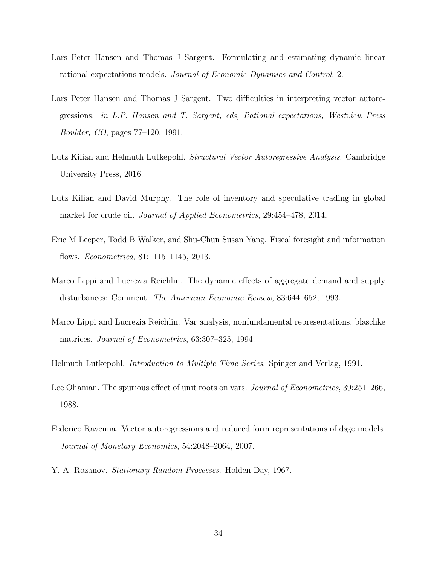- Lars Peter Hansen and Thomas J Sargent. Formulating and estimating dynamic linear rational expectations models. *Journal of Economic Dynamics and Control*, 2.
- Lars Peter Hansen and Thomas J Sargent. Two difficulties in interpreting vector autoregressions. *in L.P. Hansen and T. Sargent, eds, Rational expectations, Westview Press Boulder, CO*, pages 77–120, 1991.
- Lutz Kilian and Helmuth Lutkepohl. *Structural Vector Autoregressive Analysis*. Cambridge University Press, 2016.
- Lutz Kilian and David Murphy. The role of inventory and speculative trading in global market for crude oil. *Journal of Applied Econometrics*, 29:454–478, 2014.
- Eric M Leeper, Todd B Walker, and Shu-Chun Susan Yang. Fiscal foresight and information flows. *Econometrica*, 81:1115–1145, 2013.
- Marco Lippi and Lucrezia Reichlin. The dynamic effects of aggregate demand and supply disturbances: Comment. *The American Economic Review*, 83:644–652, 1993.
- Marco Lippi and Lucrezia Reichlin. Var analysis, nonfundamental representations, blaschke matrices. *Journal of Econometrics*, 63:307–325, 1994.
- Helmuth Lutkepohl. *Introduction to Multiple Time Series*. Spinger and Verlag, 1991.
- Lee Ohanian. The spurious effect of unit roots on vars. *Journal of Econometrics*, 39:251–266, 1988.
- Federico Ravenna. Vector autoregressions and reduced form representations of dsge models. *Journal of Monetary Economics*, 54:2048–2064, 2007.
- Y. A. Rozanov. *Stationary Random Processes*. Holden-Day, 1967.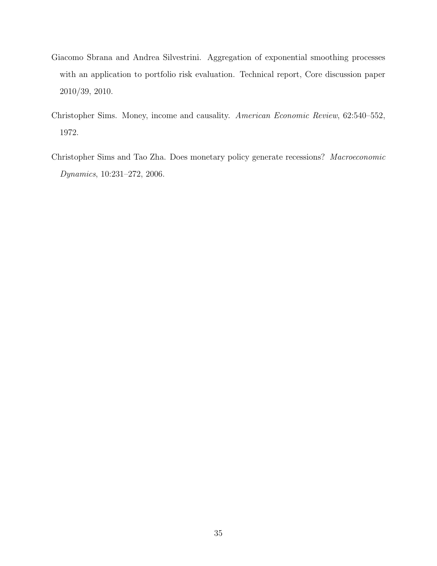- Giacomo Sbrana and Andrea Silvestrini. Aggregation of exponential smoothing processes with an application to portfolio risk evaluation. Technical report, Core discussion paper 2010/39, 2010.
- Christopher Sims. Money, income and causality. *American Economic Review*, 62:540–552, 1972.
- Christopher Sims and Tao Zha. Does monetary policy generate recessions? *Macroeconomic Dynamics*, 10:231–272, 2006.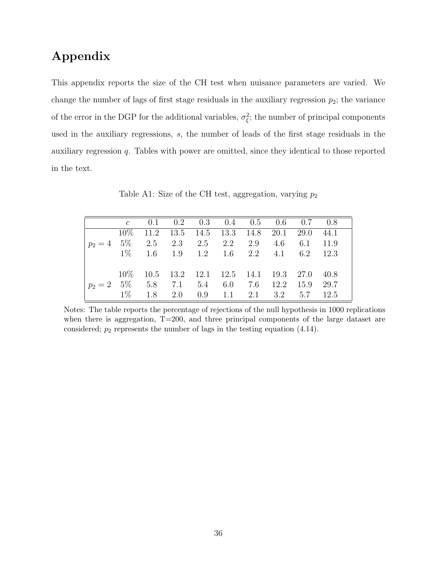# Appendix

This appendix reports the size of the CH test when nuisance parameters are varied. We change the number of lags of first stage residuals in the auxiliary regression  $p_2$ ; the variance of the error in the DGP for the additional variables,  $\sigma_{\xi}^2$ ; the number of principal components used in the auxiliary regressions, s, the number of leads of the first stage residuals in the auxiliary regression q. Tables with power are omitted, since they identical to those reported in the text.

Table A1: Size of the CH test, aggregation, varying  $p_2$ 

|                                                        |  |  | c 0.1 0.2 0.3 0.4 0.5 0.6 0.7 0.8                              |  |  |
|--------------------------------------------------------|--|--|----------------------------------------------------------------|--|--|
|                                                        |  |  | $10\%$ 11.2 13.5 14.5 13.3 14.8 20.1 29.0 44.1                 |  |  |
| $p_2 = 4$ 5\% 2.5 2.3 2.5 2.2 2.9 4.6 6.1 11.9         |  |  |                                                                |  |  |
| $1\%$ 1.6 1.9 1.2 1.6 2.2 4.1 6.2 12.3                 |  |  |                                                                |  |  |
|                                                        |  |  |                                                                |  |  |
|                                                        |  |  | $10\%$ $10.5$ $13.2$ $12.1$ $12.5$ $14.1$ $19.3$ $27.0$ $40.8$ |  |  |
| $p_2 = 2 \quad 5\%$ 5.8 7.1 5.4 6.0 7.6 12.2 15.9 29.7 |  |  |                                                                |  |  |
|                                                        |  |  | $1\%$ 1.8 2.0 0.9 1.1 2.1 3.2 5.7 12.5                         |  |  |

Notes: The table reports the percentage of rejections of the null hypothesis in 1000 replications when there is aggregation, T=200, and three principal components of the large dataset are considered;  $p_2$  represents the number of lags in the testing equation (4.14).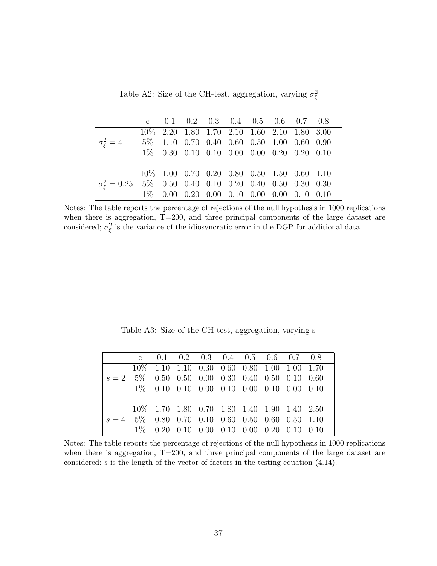Table A2: Size of the CH-test, aggregation, varying  $\sigma_{\xi}^2$ 

|                                                                      |  |  |  | c $0.1$ $0.2$ $0.3$ $0.4$ $0.5$ $0.6$ $0.7$ $0.8$                                             |  |
|----------------------------------------------------------------------|--|--|--|-----------------------------------------------------------------------------------------------|--|
|                                                                      |  |  |  | 10\% 2.20 1.80 1.70 2.10 1.60 2.10 1.80 3.00                                                  |  |
| $\sigma_{\epsilon}^2 = 4$ 5% 1.10 0.70 0.40 0.60 0.50 1.00 0.60 0.90 |  |  |  |                                                                                               |  |
|                                                                      |  |  |  | $1\% \quad 0.30 \quad 0.10 \quad 0.10 \quad 0.00 \quad 0.00 \quad 0.20 \quad 0.20 \quad 0.10$ |  |
|                                                                      |  |  |  |                                                                                               |  |
|                                                                      |  |  |  | 10\% 1.00 0.70 0.20 0.80 0.50 1.50 0.60 1.10                                                  |  |
| $\sigma_{\xi}^2 = 0.25$ 5% 0.50 0.40 0.10 0.20 0.40 0.50 0.30 0.30   |  |  |  |                                                                                               |  |
|                                                                      |  |  |  | $1\% \quad 0.00 \quad 0.20 \quad 0.00 \quad 0.10 \quad 0.00 \quad 0.00 \quad 0.10 \quad 0.10$ |  |

Notes: The table reports the percentage of rejections of the null hypothesis in 1000 replications when there is aggregation, T=200, and three principal components of the large dataset are considered;  $\sigma_{\xi}^2$  is the variance of the idiosyncratic error in the DGP for additional data.

Table A3: Size of the CH test, aggregation, varying s

|                                                     |  |  |  | c $0.1$ $0.2$ $0.3$ $0.4$ $0.5$ $0.6$ $0.7$ $0.8$ |  |
|-----------------------------------------------------|--|--|--|---------------------------------------------------|--|
|                                                     |  |  |  | 10\% 1.10 1.10 0.30 0.60 0.80 1.00 1.00 1.70      |  |
| $s = 2$ 5\% 0.50 0.50 0.00 0.30 0.40 0.50 0.10 0.60 |  |  |  |                                                   |  |
|                                                     |  |  |  | $1\%$ 0.10 0.10 0.00 0.10 0.00 0.10 0.00 0.10     |  |
|                                                     |  |  |  |                                                   |  |
|                                                     |  |  |  | 10\% 1.70 1.80 0.70 1.80 1.40 1.90 1.40 2.50      |  |
| $s = 4$ 5% 0.80 0.70 0.10 0.60 0.50 0.60 0.50 1.10  |  |  |  |                                                   |  |
|                                                     |  |  |  |                                                   |  |

Notes: The table reports the percentage of rejections of the null hypothesis in 1000 replications when there is aggregation,  $T=200$ , and three principal components of the large dataset are considered; s is the length of the vector of factors in the testing equation (4.14).